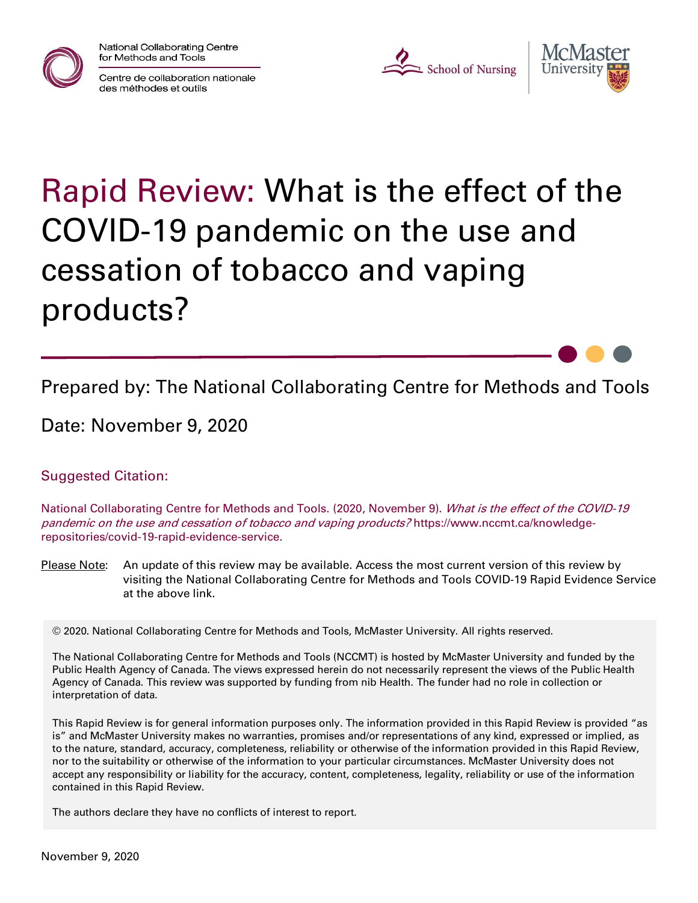

National Collaborating Centre for Methods and Tools







# Rapid Review: What is the effect of the COVID-19 pandemic on the use and cessation of tobacco and vaping products?

Prepared by: The National Collaborating Centre for Methods and Tools

Date: November 9, 2020

Suggested Citation:

National Collaborating Centre for Methods and Tools. (2020, November 9). What is the effect of the COVID-19 pandemic on the use and cessation of tobacco and vaping products? https://www.nccmt.ca/knowledgerepositories/covid-19-rapid-evidence-service.

Please Note: An update of this review may be available. Access the most current version of this review by visiting the National Collaborating Centre for Methods and Tools COVID-19 Rapid Evidence Service at the above link.

© 2020. National Collaborating Centre for Methods and Tools, McMaster University. All rights reserved.

The National Collaborating Centre for Methods and Tools (NCCMT) is hosted by McMaster University and funded by the Public Health Agency of Canada. The views expressed herein do not necessarily represent the views of the Public Health Agency of Canada. This review was supported by funding from nib Health. The funder had no role in collection or interpretation of data.

This Rapid Review is for general information purposes only. The information provided in this Rapid Review is provided "as is" and McMaster University makes no warranties, promises and/or representations of any kind, expressed or implied, as to the nature, standard, accuracy, completeness, reliability or otherwise of the information provided in this Rapid Review, nor to the suitability or otherwise of the information to your particular circumstances. McMaster University does not accept any responsibility or liability for the accuracy, content, completeness, legality, reliability or use of the information contained in this Rapid Review.

The authors declare they have no conflicts of interest to report.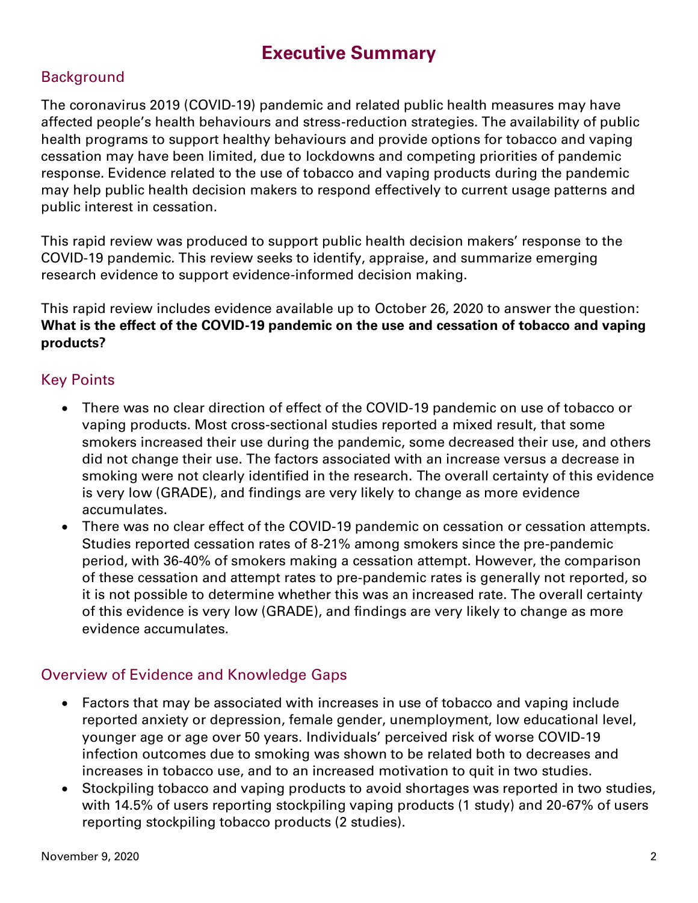## **Executive Summary**

#### **Background**

The coronavirus 2019 (COVID-19) pandemic and related public health measures may have affected people's health behaviours and stress-reduction strategies. The availability of public health programs to support healthy behaviours and provide options for tobacco and vaping cessation may have been limited, due to lockdowns and competing priorities of pandemic response. Evidence related to the use of tobacco and vaping products during the pandemic may help public health decision makers to respond effectively to current usage patterns and public interest in cessation.

This rapid review was produced to support public health decision makers' response to the COVID-19 pandemic. This review seeks to identify, appraise, and summarize emerging research evidence to support evidence-informed decision making.

This rapid review includes evidence available up to October 26, 2020 to answer the question: **What is the effect of the COVID-19 pandemic on the use and cessation of tobacco and vaping products?**

#### Key Points

- There was no clear direction of effect of the COVID-19 pandemic on use of tobacco or vaping products. Most cross-sectional studies reported a mixed result, that some smokers increased their use during the pandemic, some decreased their use, and others did not change their use. The factors associated with an increase versus a decrease in smoking were not clearly identified in the research. The overall certainty of this evidence is very low (GRADE), and findings are very likely to change as more evidence accumulates.
- There was no clear effect of the COVID-19 pandemic on cessation or cessation attempts. Studies reported cessation rates of 8-21% among smokers since the pre-pandemic period, with 36-40% of smokers making a cessation attempt. However, the comparison of these cessation and attempt rates to pre-pandemic rates is generally not reported, so it is not possible to determine whether this was an increased rate. The overall certainty of this evidence is very low (GRADE), and findings are very likely to change as more evidence accumulates.

#### Overview of Evidence and Knowledge Gaps

- Factors that may be associated with increases in use of tobacco and vaping include reported anxiety or depression, female gender, unemployment, low educational level, younger age or age over 50 years. Individuals' perceived risk of worse COVID-19 infection outcomes due to smoking was shown to be related both to decreases and increases in tobacco use, and to an increased motivation to quit in two studies.
- Stockpiling tobacco and vaping products to avoid shortages was reported in two studies, with 14.5% of users reporting stockpiling vaping products (1 study) and 20-67% of users reporting stockpiling tobacco products (2 studies).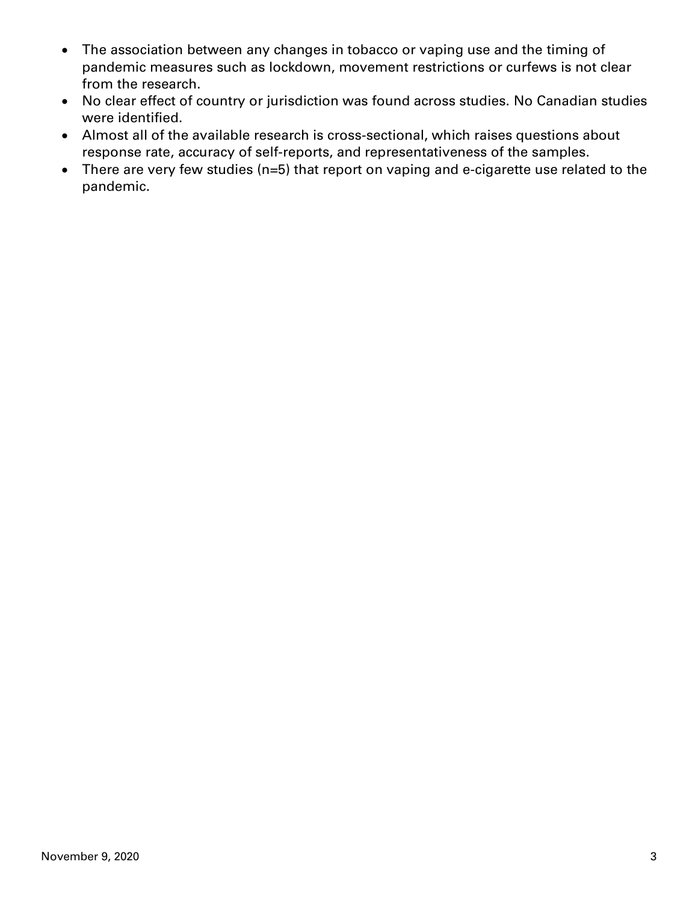- The association between any changes in tobacco or vaping use and the timing of pandemic measures such as lockdown, movement restrictions or curfews is not clear from the research.
- No clear effect of country or jurisdiction was found across studies. No Canadian studies were identified.
- Almost all of the available research is cross-sectional, which raises questions about response rate, accuracy of self-reports, and representativeness of the samples.
- There are very few studies (n=5) that report on vaping and e-cigarette use related to the pandemic.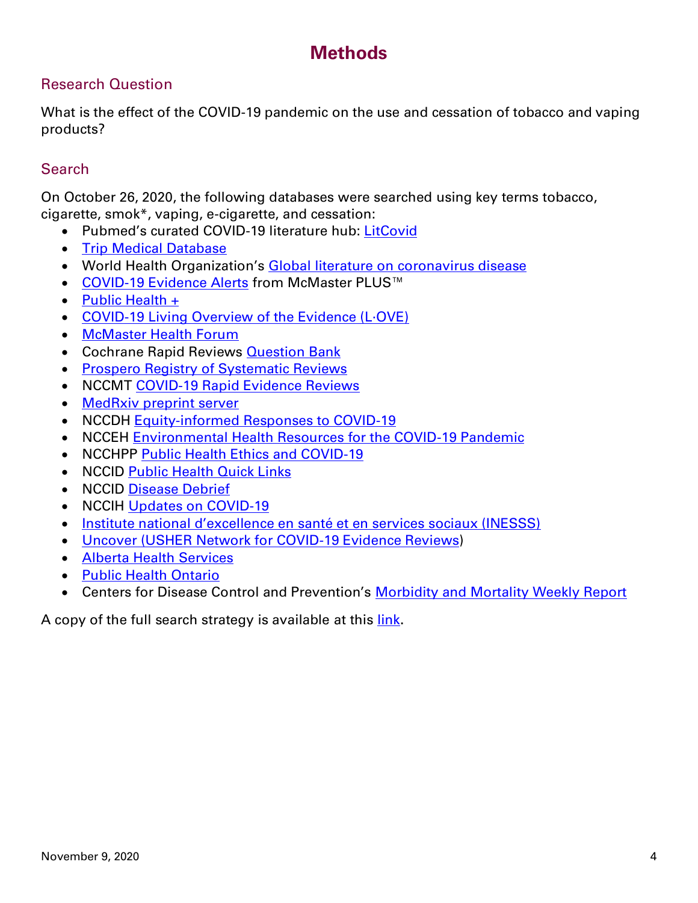## **Methods**

#### Research Question

What is the effect of the COVID-19 pandemic on the use and cessation of tobacco and vaping products?

#### **Search**

On October 26, 2020, the following databases were searched using key terms tobacco, cigarette, smok\*, vaping, e-cigarette, and cessation:

- Pubmed's curated COVID-19 literature hub: [LitCovid](https://www.ncbi.nlm.nih.gov/research/coronavirus/)
- [Trip Medical Database](https://www.tripdatabase.com/)
- World Health Organization's [Global literature on coronavirus disease](https://search.bvsalud.org/global-literature-on-novel-coronavirus-2019-ncov/)
- [COVID-19 Evidence Alerts](https://plus.mcmaster.ca/COVID-19/Home) from McMaster PLUS™
- [Public Health +](https://www.nccmt.ca/knowledge-repositories/public-health-plus)
- [COVID-19 Living Overview of the Evidence \(L·OVE\)](https://app.iloveevidence.com/loves/5e6fdb9669c00e4ac072701d)
- [McMaster Health Forum](https://app.iloveevidence.com/loves/5e6fdb9669c00e4ac072701d)
- Cochrane Rapid Reviews **Question Bank**
- [Prospero Registry of Systematic Reviews](https://www.crd.york.ac.uk/prospero/display_record.php?RecordID=193751)
- NCCMT [COVID-19 Rapid Evidence Reviews](https://www.nccmt.ca/knowledge-repositories/covid-19-evidence-reviews)
- [MedRxiv preprint server](https://www.medrxiv.org/)
- NCCDH [Equity-informed Responses to COVID-19](http://nccdh.ca/our-work/covid-19)
- NCCEH [Environmental Health Resources for the COVID-19 Pandemic](https://ncceh.ca/environmental-health-in-canada/health-agency-projects/environmental-health-resources-covid-19)
- NCCHPP [Public Health Ethics and COVID-19](https://www.nccih.ca/485/NCCIH_in_the_News.nccih?id=450)
- NCCID [Public Health Quick Links](https://nccid.ca/coronavirus-quick-links/)
- NCCID [Disease Debrief](https://nccid.ca/2019-novel-coronavirus-outbreak/)
- NCCIH [Updates on COVID-19](https://www.nccih.ca/485/NCCIH_in_the_News.nccih?id=450)
- [Institute national d'excellence en santé et en services sociaux \(INESSS\)](https://www.inesss.qc.ca/covid-19/services-sociaux.html)
- [Uncover \(USHER Network for COVID-19 Evidence Reviews\)](https://www.ed.ac.uk/usher/uncover)
- [Alberta Health Services](https://www.albertahealthservices.ca/)
- [Public Health Ontario](https://www.publichealthontario.ca/)
- Centers for Disease Control and Prevention's [Morbidity and Mortality Weekly Report](https://www.cdc.gov/mmwr/Novel_Coronavirus_Reports.html)

A copy of the full search strategy is available at this [link](https://www.nccmt.ca/uploads/media/media/0001/02/9fbdf871dc507af8b7477ba598ea3eba283610c3.pdf).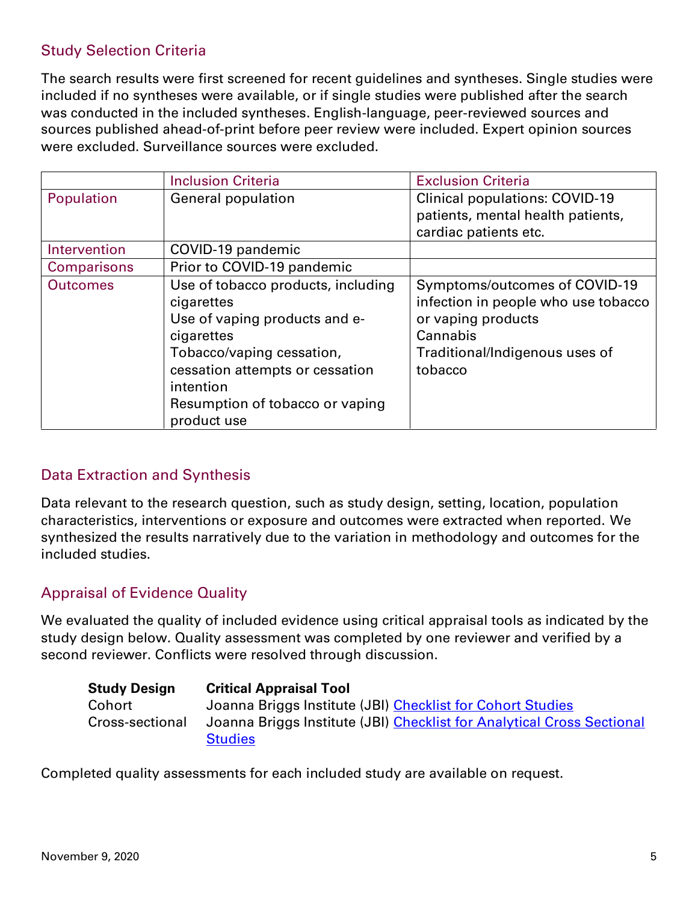#### Study Selection Criteria

The search results were first screened for recent guidelines and syntheses. Single studies were included if no syntheses were available, or if single studies were published after the search was conducted in the included syntheses. English-language, peer-reviewed sources and sources published ahead-of-print before peer review were included. Expert opinion sources were excluded. Surveillance sources were excluded.

|                 | <b>Inclusion Criteria</b>          | <b>Exclusion Criteria</b>             |
|-----------------|------------------------------------|---------------------------------------|
| Population      | <b>General population</b>          | <b>Clinical populations: COVID-19</b> |
|                 |                                    | patients, mental health patients,     |
|                 |                                    | cardiac patients etc.                 |
| Intervention    | COVID-19 pandemic                  |                                       |
| Comparisons     | Prior to COVID-19 pandemic         |                                       |
| <b>Outcomes</b> | Use of tobacco products, including | Symptoms/outcomes of COVID-19         |
|                 | cigarettes                         | infection in people who use tobacco   |
|                 | Use of vaping products and e-      | or vaping products                    |
|                 | cigarettes                         | Cannabis                              |
|                 | Tobacco/vaping cessation,          | Traditional/Indigenous uses of        |
|                 | cessation attempts or cessation    | tobacco                               |
|                 | intention                          |                                       |
|                 | Resumption of tobacco or vaping    |                                       |
|                 | product use                        |                                       |

#### Data Extraction and Synthesis

Data relevant to the research question, such as study design, setting, location, population characteristics, interventions or exposure and outcomes were extracted when reported. We synthesized the results narratively due to the variation in methodology and outcomes for the included studies.

#### Appraisal of Evidence Quality

We evaluated the quality of included evidence using critical appraisal tools as indicated by the study design below. Quality assessment was completed by one reviewer and verified by a second reviewer. Conflicts were resolved through discussion.

| <b>Study Design</b> | <b>Critical Appraisal Tool</b>                                         |
|---------------------|------------------------------------------------------------------------|
| Cohort              | Joanna Briggs Institute (JBI) Checklist for Cohort Studies             |
| Cross-sectional     | Joanna Briggs Institute (JBI) Checklist for Analytical Cross Sectional |
|                     | <b>Studies</b>                                                         |

Completed quality assessments for each included study are available on request.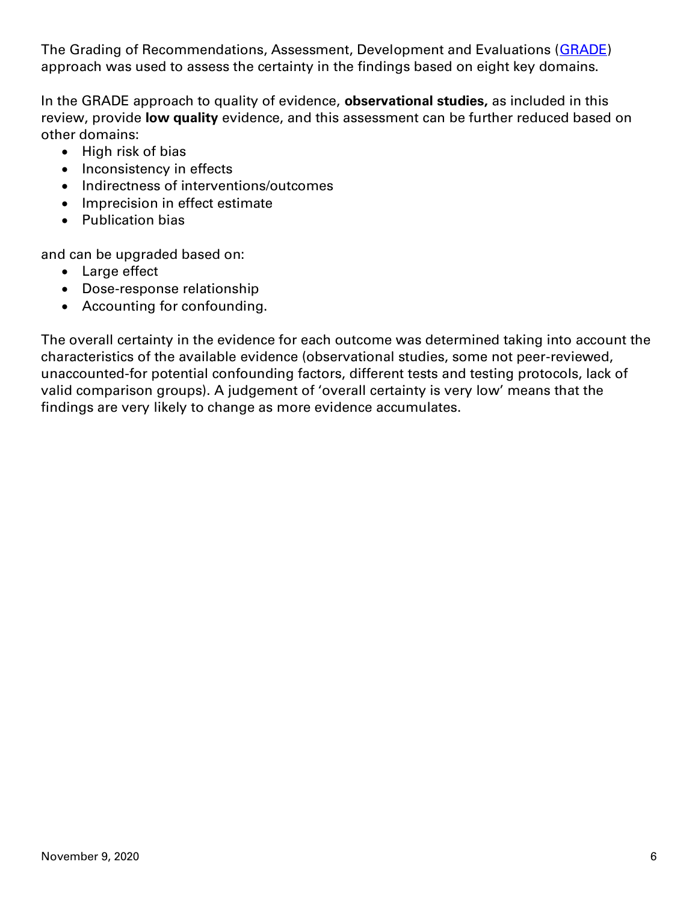The Grading of Recommendations, Assessment, Development and Evaluations [\(GRADE\)](https://gdt.gradepro.org/app/handbook/handbook.html) approach was used to assess the certainty in the findings based on eight key domains.

In the GRADE approach to quality of evidence, **observational studies,** as included in this review, provide **low quality** evidence, and this assessment can be further reduced based on other domains:

- High risk of bias
- Inconsistency in effects
- Indirectness of interventions/outcomes
- Imprecision in effect estimate
- Publication bias

and can be upgraded based on:

- Large effect
- Dose-response relationship
- Accounting for confounding.

The overall certainty in the evidence for each outcome was determined taking into account the characteristics of the available evidence (observational studies, some not peer-reviewed, unaccounted-for potential confounding factors, different tests and testing protocols, lack of valid comparison groups). A judgement of 'overall certainty is very low' means that the findings are very likely to change as more evidence accumulates.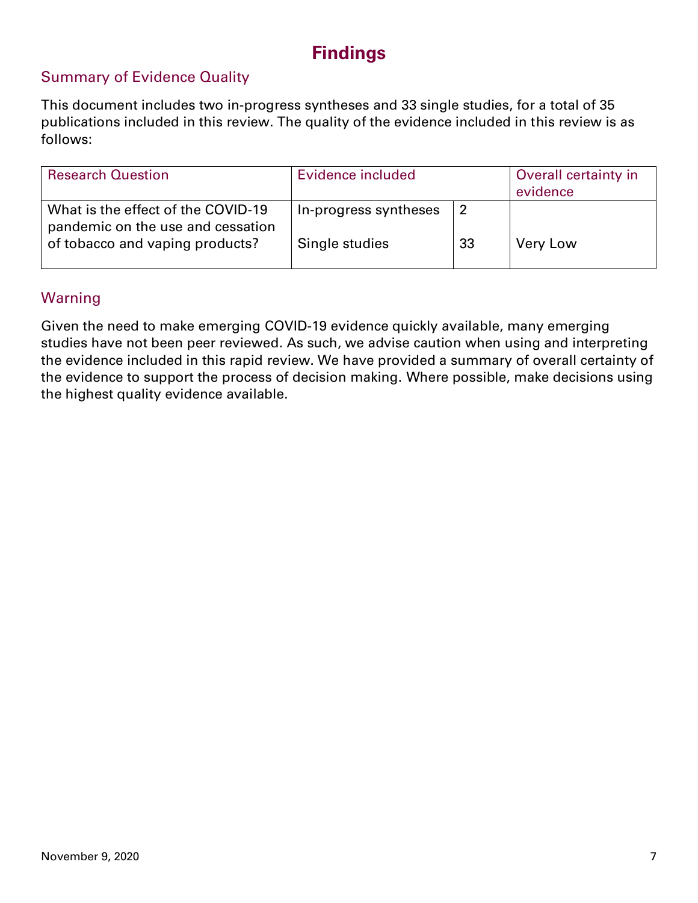## **Findings**

#### Summary of Evidence Quality

This document includes two in-progress syntheses and 33 single studies, for a total of 35 publications included in this review. The quality of the evidence included in this review is as follows:

| <b>Research Question</b>                                                | Evidence included     | Overall certainty in<br>evidence |                 |
|-------------------------------------------------------------------------|-----------------------|----------------------------------|-----------------|
| What is the effect of the COVID-19<br>pandemic on the use and cessation | In-progress syntheses |                                  |                 |
| of tobacco and vaping products?                                         | Single studies        | 33                               | <b>Very Low</b> |

#### Warning

Given the need to make emerging COVID-19 evidence quickly available, many emerging studies have not been peer reviewed. As such, we advise caution when using and interpreting the evidence included in this rapid review. We have provided a summary of overall certainty of the evidence to support the process of decision making. Where possible, make decisions using the highest quality evidence available.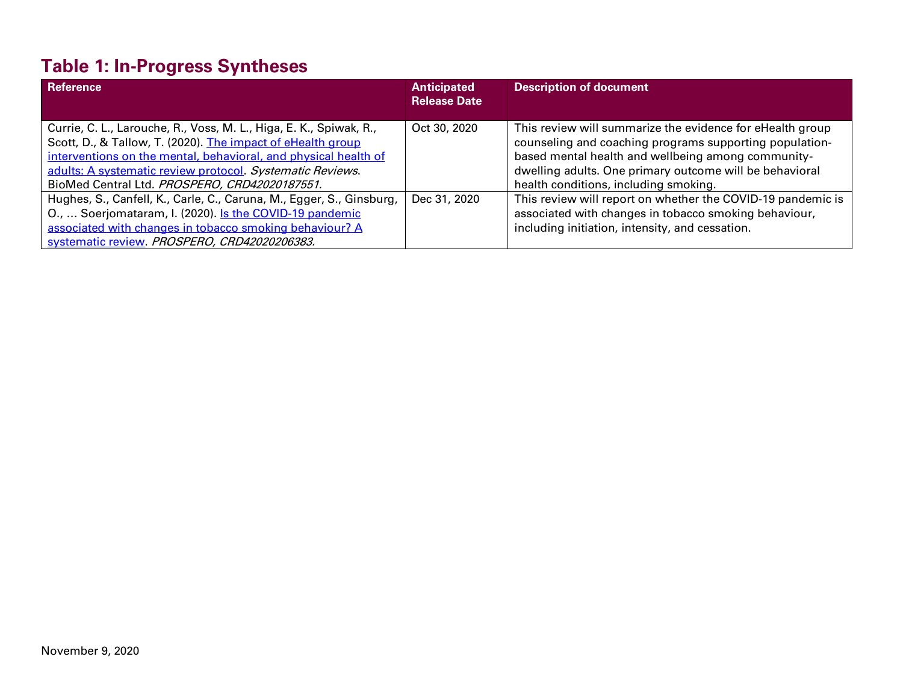# **Table 1: In-Progress Syntheses**

| Reference                                                            | <b>Anticipated</b><br><b>Release Date</b> | <b>Description of document</b>                              |
|----------------------------------------------------------------------|-------------------------------------------|-------------------------------------------------------------|
|                                                                      |                                           |                                                             |
| Currie, C. L., Larouche, R., Voss, M. L., Higa, E. K., Spiwak, R.,   | Oct 30, 2020                              | This review will summarize the evidence for eHealth group   |
| Scott, D., & Tallow, T. (2020). The impact of eHealth group          |                                           | counseling and coaching programs supporting population-     |
| interventions on the mental, behavioral, and physical health of      |                                           | based mental health and wellbeing among community-          |
| adults: A systematic review protocol. Systematic Reviews.            |                                           | dwelling adults. One primary outcome will be behavioral     |
| BioMed Central Ltd. PROSPERO, CRD42020187551.                        |                                           | health conditions, including smoking.                       |
| Hughes, S., Canfell, K., Carle, C., Caruna, M., Egger, S., Ginsburg, | Dec 31, 2020                              | This review will report on whether the COVID-19 pandemic is |
| O.,  Soerjomataram, I. (2020). Is the COVID-19 pandemic              |                                           | associated with changes in tobacco smoking behaviour,       |
| associated with changes in tobacco smoking behaviour? A              |                                           | including initiation, intensity, and cessation.             |
| systematic review. PROSPERO, CRD42020206383.                         |                                           |                                                             |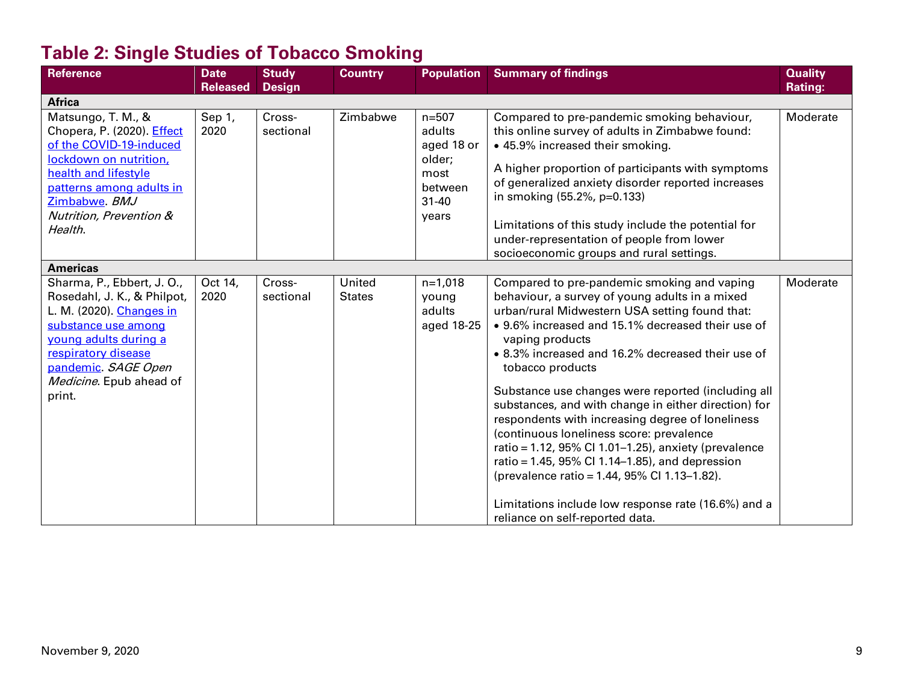# **Table 2: Single Studies of Tobacco Smoking**

| <b>Reference</b>            | <b>Date</b>     | <b>Study</b>  | <b>Country</b> | <b>Population</b> | <b>Summary of findings</b>                           | <b>Quality</b> |
|-----------------------------|-----------------|---------------|----------------|-------------------|------------------------------------------------------|----------------|
|                             | <b>Released</b> | <b>Design</b> |                |                   |                                                      | Rating:        |
| <b>Africa</b>               |                 |               |                |                   |                                                      |                |
| Matsungo, T. M., &          | Sep 1,          | Cross-        | Zimbabwe       | $n = 507$         | Compared to pre-pandemic smoking behaviour,          | Moderate       |
| Chopera, P. (2020). Effect  | 2020            | sectional     |                | adults            | this online survey of adults in Zimbabwe found:      |                |
| of the COVID-19-induced     |                 |               |                | aged 18 or        | • 45.9% increased their smoking.                     |                |
| lockdown on nutrition,      |                 |               |                | older;            |                                                      |                |
| health and lifestyle        |                 |               |                | most              | A higher proportion of participants with symptoms    |                |
| patterns among adults in    |                 |               |                | between           | of generalized anxiety disorder reported increases   |                |
| Zimbabwe BMJ                |                 |               |                | $31 - 40$         | in smoking (55.2%, p=0.133)                          |                |
| Nutrition, Prevention &     |                 |               |                | years             |                                                      |                |
| Health.                     |                 |               |                |                   | Limitations of this study include the potential for  |                |
|                             |                 |               |                |                   | under-representation of people from lower            |                |
|                             |                 |               |                |                   | socioeconomic groups and rural settings.             |                |
| <b>Americas</b>             |                 |               |                |                   |                                                      |                |
| Sharma, P., Ebbert, J. O.,  | Oct 14,         | Cross-        | United         | $n=1,018$         | Compared to pre-pandemic smoking and vaping          | Moderate       |
| Rosedahl, J. K., & Philpot, | 2020            | sectional     | <b>States</b>  | young             | behaviour, a survey of young adults in a mixed       |                |
| L. M. (2020). Changes in    |                 |               |                | adults            | urban/rural Midwestern USA setting found that:       |                |
| substance use among         |                 |               |                | aged 18-25        | • 9.6% increased and 15.1% decreased their use of    |                |
| voung adults during a       |                 |               |                |                   | vaping products                                      |                |
| respiratory disease         |                 |               |                |                   | • 8.3% increased and 16.2% decreased their use of    |                |
| pandemic. SAGE Open         |                 |               |                |                   | tobacco products                                     |                |
| Medicine. Epub ahead of     |                 |               |                |                   |                                                      |                |
| print.                      |                 |               |                |                   | Substance use changes were reported (including all   |                |
|                             |                 |               |                |                   | substances, and with change in either direction) for |                |
|                             |                 |               |                |                   | respondents with increasing degree of loneliness     |                |
|                             |                 |               |                |                   | (continuous loneliness score: prevalence             |                |
|                             |                 |               |                |                   | ratio = 1.12, 95% Cl 1.01-1.25), anxiety (prevalence |                |
|                             |                 |               |                |                   | ratio = 1.45, 95% CI 1.14-1.85), and depression      |                |
|                             |                 |               |                |                   | (prevalence ratio = 1.44, 95% Cl 1.13-1.82).         |                |
|                             |                 |               |                |                   | Limitations include low response rate (16.6%) and a  |                |
|                             |                 |               |                |                   | reliance on self-reported data.                      |                |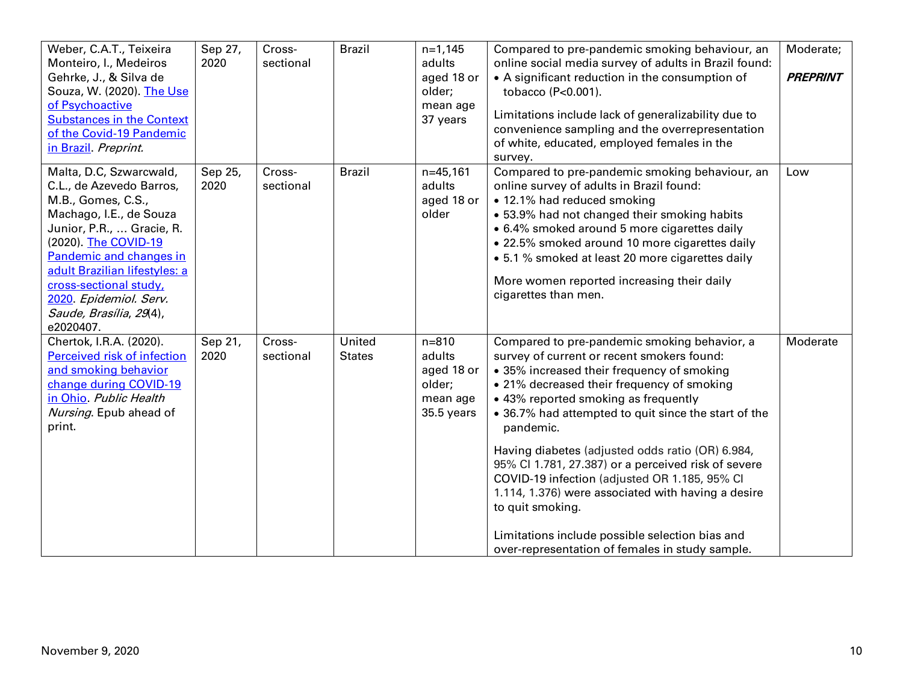| Weber, C.A.T., Teixeira<br>Monteiro, I., Medeiros<br>Gehrke, J., & Silva de<br>Souza, W. (2020). The Use<br>of Psychoactive<br><b>Substances in the Context</b><br>of the Covid-19 Pandemic<br>in Brazil. Preprint.                                                                                               | Sep 27,<br>2020 | Cross-<br>sectional | <b>Brazil</b>           | $n=1,145$<br>adults<br>aged 18 or<br>older;<br>mean age<br>37 years   | Compared to pre-pandemic smoking behaviour, an<br>online social media survey of adults in Brazil found:<br>• A significant reduction in the consumption of<br>tobacco (P<0.001).<br>Limitations include lack of generalizability due to<br>convenience sampling and the overrepresentation<br>of white, educated, employed females in the<br>survey.                                                                                                                                                                                                                                                                                            | Moderate;<br><b>PREPRINT</b> |
|-------------------------------------------------------------------------------------------------------------------------------------------------------------------------------------------------------------------------------------------------------------------------------------------------------------------|-----------------|---------------------|-------------------------|-----------------------------------------------------------------------|-------------------------------------------------------------------------------------------------------------------------------------------------------------------------------------------------------------------------------------------------------------------------------------------------------------------------------------------------------------------------------------------------------------------------------------------------------------------------------------------------------------------------------------------------------------------------------------------------------------------------------------------------|------------------------------|
| Malta, D.C, Szwarcwald,<br>C.L., de Azevedo Barros,<br>M.B., Gomes, C.S.,<br>Machago, I.E., de Souza<br>Junior, P.R.,  Gracie, R.<br>(2020). The COVID-19<br>Pandemic and changes in<br>adult Brazilian lifestyles: a<br>cross-sectional study,<br>2020. Epidemiol. Serv.<br>Saude, Brasília, 29(4),<br>e2020407. | Sep 25,<br>2020 | Cross-<br>sectional | <b>Brazil</b>           | $n=45,161$<br>adults<br>aged 18 or<br>older                           | Compared to pre-pandemic smoking behaviour, an<br>online survey of adults in Brazil found:<br>• 12.1% had reduced smoking<br>• 53.9% had not changed their smoking habits<br>• 6.4% smoked around 5 more cigarettes daily<br>• 22.5% smoked around 10 more cigarettes daily<br>• 5.1 % smoked at least 20 more cigarettes daily<br>More women reported increasing their daily<br>cigarettes than men.                                                                                                                                                                                                                                           | Low                          |
| Chertok, I.R.A. (2020).<br>Perceived risk of infection<br>and smoking behavior<br>change during COVID-19<br>in Ohio. Public Health<br>Nursing. Epub ahead of<br>print.                                                                                                                                            | Sep 21,<br>2020 | Cross-<br>sectional | United<br><b>States</b> | $n = 810$<br>adults<br>aged 18 or<br>older;<br>mean age<br>35.5 years | Compared to pre-pandemic smoking behavior, a<br>survey of current or recent smokers found:<br>• 35% increased their frequency of smoking<br>• 21% decreased their frequency of smoking<br>• 43% reported smoking as frequently<br>• 36.7% had attempted to quit since the start of the<br>pandemic.<br>Having diabetes (adjusted odds ratio (OR) 6.984,<br>95% Cl 1.781, 27.387) or a perceived risk of severe<br>COVID-19 infection (adjusted OR 1.185, 95% CI<br>1.114, 1.376) were associated with having a desire<br>to quit smoking.<br>Limitations include possible selection bias and<br>over-representation of females in study sample. | Moderate                     |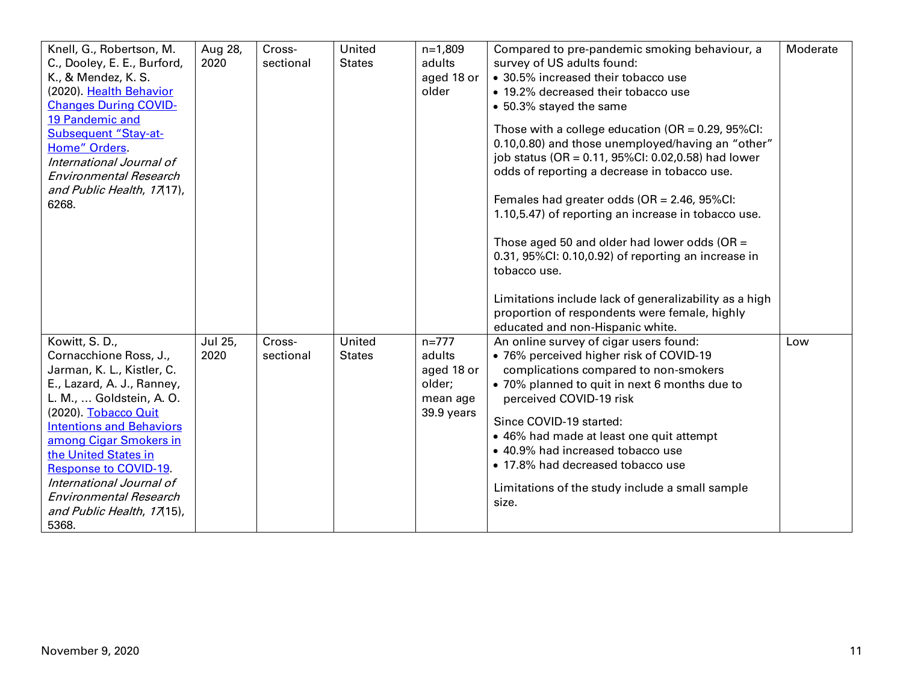| Knell, G., Robertson, M.        | Aug 28, | Cross-    | United        | $n=1,809$  | Compared to pre-pandemic smoking behaviour, a             | Moderate |
|---------------------------------|---------|-----------|---------------|------------|-----------------------------------------------------------|----------|
| C., Dooley, E. E., Burford,     | 2020    | sectional | <b>States</b> | adults     | survey of US adults found:                                |          |
| K., & Mendez, K. S.             |         |           |               | aged 18 or | • 30.5% increased their tobacco use                       |          |
| (2020). Health Behavior         |         |           |               | older      | • 19.2% decreased their tobacco use                       |          |
| <b>Changes During COVID-</b>    |         |           |               |            | • 50.3% stayed the same                                   |          |
| 19 Pandemic and                 |         |           |               |            |                                                           |          |
| <b>Subsequent "Stay-at-</b>     |         |           |               |            | Those with a college education ( $OR = 0.29$ , $95\%CI$ : |          |
| Home" Orders.                   |         |           |               |            | 0.10,0.80) and those unemployed/having an "other"         |          |
| International Journal of        |         |           |               |            | job status (OR = 0.11, 95%CI: 0.02,0.58) had lower        |          |
| <b>Environmental Research</b>   |         |           |               |            | odds of reporting a decrease in tobacco use.              |          |
| and Public Health, 17(17),      |         |           |               |            |                                                           |          |
| 6268.                           |         |           |               |            | Females had greater odds (OR = 2.46, 95%Cl:               |          |
|                                 |         |           |               |            | 1.10,5.47) of reporting an increase in tobacco use.       |          |
|                                 |         |           |               |            |                                                           |          |
|                                 |         |           |               |            | Those aged 50 and older had lower odds (OR =              |          |
|                                 |         |           |               |            | 0.31, 95%CI: 0.10,0.92) of reporting an increase in       |          |
|                                 |         |           |               |            | tobacco use.                                              |          |
|                                 |         |           |               |            | Limitations include lack of generalizability as a high    |          |
|                                 |         |           |               |            | proportion of respondents were female, highly             |          |
|                                 |         |           |               |            | educated and non-Hispanic white.                          |          |
| Kowitt, S.D.,                   | Jul 25, | Cross-    | United        | $n = 777$  | An online survey of cigar users found:                    | Low      |
| Cornacchione Ross, J.,          | 2020    | sectional | <b>States</b> | adults     | · 76% perceived higher risk of COVID-19                   |          |
| Jarman, K. L., Kistler, C.      |         |           |               | aged 18 or | complications compared to non-smokers                     |          |
| E., Lazard, A. J., Ranney,      |         |           |               | older;     | • 70% planned to quit in next 6 months due to             |          |
| L. M.,  Goldstein, A. O.        |         |           |               | mean age   | perceived COVID-19 risk                                   |          |
| (2020). Tobacco Quit            |         |           |               | 39.9 years |                                                           |          |
| <b>Intentions and Behaviors</b> |         |           |               |            | Since COVID-19 started:                                   |          |
| among Cigar Smokers in          |         |           |               |            | • 46% had made at least one quit attempt                  |          |
| the United States in            |         |           |               |            | • 40.9% had increased tobacco use                         |          |
| <b>Response to COVID-19.</b>    |         |           |               |            | • 17.8% had decreased tobacco use                         |          |
| International Journal of        |         |           |               |            | Limitations of the study include a small sample           |          |
| <b>Environmental Research</b>   |         |           |               |            | size.                                                     |          |
| and Public Health, 17(15),      |         |           |               |            |                                                           |          |
| 5368.                           |         |           |               |            |                                                           |          |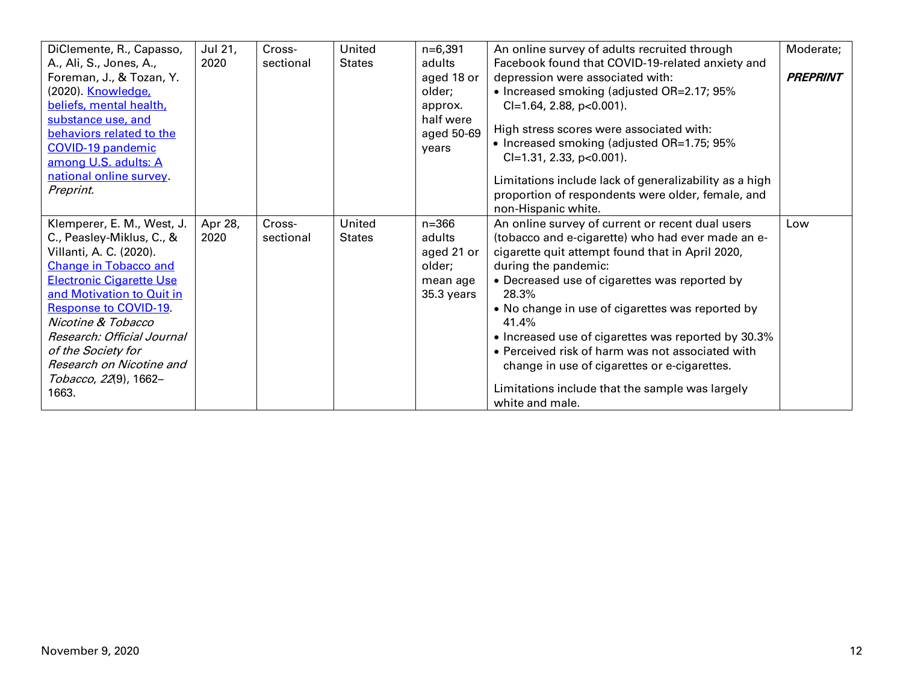| DiClemente, R., Capasso,<br>A., Ali, S., Jones, A.,<br>Foreman, J., & Tozan, Y.<br>(2020). <u>Knowledge,</u>                  | Jul 21,<br>2020 | Cross-<br>sectional | United<br><b>States</b> | $n=6,391$<br>adults<br>aged 18 or<br>older; | An online survey of adults recruited through<br>Facebook found that COVID-19-related anxiety and<br>depression were associated with:<br>• Increased smoking (adjusted OR=2.17; 95% | Moderate;<br><b>PREPRINT</b> |
|-------------------------------------------------------------------------------------------------------------------------------|-----------------|---------------------|-------------------------|---------------------------------------------|------------------------------------------------------------------------------------------------------------------------------------------------------------------------------------|------------------------------|
| beliefs, mental health,<br>substance use, and<br>behaviors related to the<br><b>COVID-19 pandemic</b><br>among U.S. adults: A |                 |                     |                         | approx.<br>half were<br>aged 50-69<br>years | $Cl=1.64$ , 2.88, p<0.001).<br>High stress scores were associated with:<br>• Increased smoking (adjusted OR=1.75; 95%<br>$Cl=1.31$ , 2.33, p<0.001).                               |                              |
| national online survey.                                                                                                       |                 |                     |                         |                                             | Limitations include lack of generalizability as a high                                                                                                                             |                              |
| Preprint.                                                                                                                     |                 |                     |                         |                                             | proportion of respondents were older, female, and<br>non-Hispanic white.                                                                                                           |                              |
| Klemperer, E. M., West, J.                                                                                                    | Apr 28,         | Cross-              | United                  | $n = 366$                                   | An online survey of current or recent dual users                                                                                                                                   | Low                          |
| C., Peasley-Miklus, C., &<br>Villanti, A. C. (2020).                                                                          | 2020            | sectional           | <b>States</b>           | adults<br>aged 21 or                        | (tobacco and e-cigarette) who had ever made an e-<br>cigarette quit attempt found that in April 2020,                                                                              |                              |
| <b>Change in Tobacco and</b>                                                                                                  |                 |                     |                         | older;                                      | during the pandemic:                                                                                                                                                               |                              |
| <b>Electronic Cigarette Use</b>                                                                                               |                 |                     |                         | mean age                                    | • Decreased use of cigarettes was reported by                                                                                                                                      |                              |
| and Motivation to Quit in                                                                                                     |                 |                     |                         | $35.3$ years                                | 28.3%                                                                                                                                                                              |                              |
| <b>Response to COVID-19.</b><br>Nicotine & Tobacco                                                                            |                 |                     |                         |                                             | • No change in use of cigarettes was reported by<br>41.4%                                                                                                                          |                              |
| Research: Official Journal                                                                                                    |                 |                     |                         |                                             | • Increased use of cigarettes was reported by 30.3%                                                                                                                                |                              |
| of the Society for                                                                                                            |                 |                     |                         |                                             | • Perceived risk of harm was not associated with                                                                                                                                   |                              |
| Research on Nicotine and                                                                                                      |                 |                     |                         |                                             | change in use of cigarettes or e-cigarettes.                                                                                                                                       |                              |
| Tobacco, 22(9), 1662-<br>1663.                                                                                                |                 |                     |                         |                                             | Limitations include that the sample was largely<br>white and male.                                                                                                                 |                              |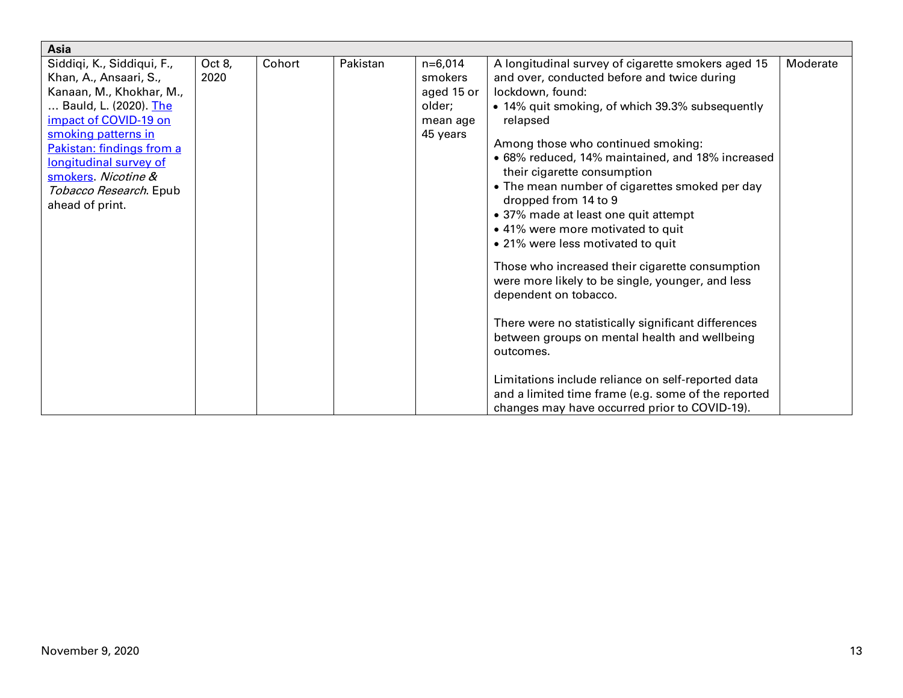| Asia                                                                                                                                                                                                                                                                                 |                |        |          |                                                                      |                                                                                                                                                                                                                                                                                                                                                                                                                                                                                                                                                                                                                                                                                                                                                                                                                                                                                                                              |          |
|--------------------------------------------------------------------------------------------------------------------------------------------------------------------------------------------------------------------------------------------------------------------------------------|----------------|--------|----------|----------------------------------------------------------------------|------------------------------------------------------------------------------------------------------------------------------------------------------------------------------------------------------------------------------------------------------------------------------------------------------------------------------------------------------------------------------------------------------------------------------------------------------------------------------------------------------------------------------------------------------------------------------------------------------------------------------------------------------------------------------------------------------------------------------------------------------------------------------------------------------------------------------------------------------------------------------------------------------------------------------|----------|
| Siddiqi, K., Siddiqui, F.,<br>Khan, A., Ansaari, S.,<br>Kanaan, M., Khokhar, M.,<br>Bauld, L. (2020). The<br>impact of COVID-19 on<br>smoking patterns in<br>Pakistan: findings from a<br>longitudinal survey of<br>smokers. Nicotine &<br>Tobacco Research. Epub<br>ahead of print. | Oct 8,<br>2020 | Cohort | Pakistan | $n=6,014$<br>smokers<br>aged 15 or<br>older;<br>mean age<br>45 years | A longitudinal survey of cigarette smokers aged 15<br>and over, conducted before and twice during<br>lockdown, found:<br>• 14% quit smoking, of which 39.3% subsequently<br>relapsed<br>Among those who continued smoking:<br>• 68% reduced, 14% maintained, and 18% increased<br>their cigarette consumption<br>• The mean number of cigarettes smoked per day<br>dropped from 14 to 9<br>• 37% made at least one quit attempt<br>• 41% were more motivated to quit<br>• 21% were less motivated to quit<br>Those who increased their cigarette consumption<br>were more likely to be single, younger, and less<br>dependent on tobacco.<br>There were no statistically significant differences<br>between groups on mental health and wellbeing<br>outcomes.<br>Limitations include reliance on self-reported data<br>and a limited time frame (e.g. some of the reported<br>changes may have occurred prior to COVID-19). | Moderate |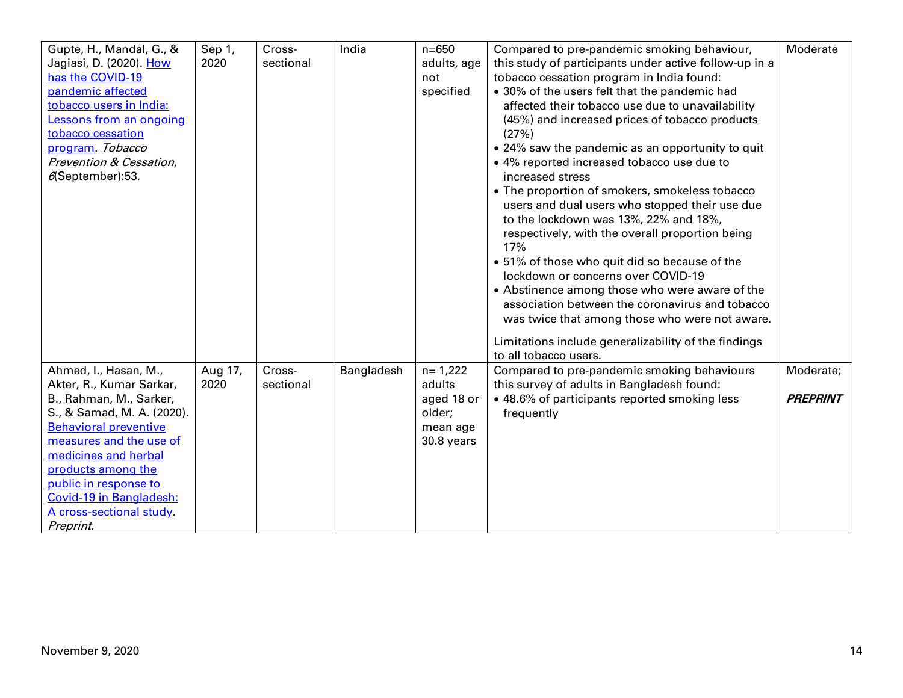| Gupte, H., Mandal, G., &     | Sep 1,  | Cross-    | India      | $n = 650$   | Compared to pre-pandemic smoking behaviour,            | Moderate        |
|------------------------------|---------|-----------|------------|-------------|--------------------------------------------------------|-----------------|
| Jagiasi, D. (2020). How      | 2020    | sectional |            | adults, age | this study of participants under active follow-up in a |                 |
| has the COVID-19             |         |           |            | not         | tobacco cessation program in India found:              |                 |
| pandemic affected            |         |           |            | specified   | • 30% of the users felt that the pandemic had          |                 |
| tobacco users in India:      |         |           |            |             | affected their tobacco use due to unavailability       |                 |
| Lessons from an ongoing      |         |           |            |             | (45%) and increased prices of tobacco products         |                 |
| tobacco cessation            |         |           |            |             | (27%)                                                  |                 |
| program. Tobacco             |         |           |            |             | • 24% saw the pandemic as an opportunity to quit       |                 |
| Prevention & Cessation,      |         |           |            |             | • 4% reported increased tobacco use due to             |                 |
| $6$ (September):53.          |         |           |            |             | increased stress                                       |                 |
|                              |         |           |            |             | • The proportion of smokers, smokeless tobacco         |                 |
|                              |         |           |            |             | users and dual users who stopped their use due         |                 |
|                              |         |           |            |             | to the lockdown was 13%, 22% and 18%,                  |                 |
|                              |         |           |            |             | respectively, with the overall proportion being        |                 |
|                              |         |           |            |             | 17%                                                    |                 |
|                              |         |           |            |             | • 51% of those who quit did so because of the          |                 |
|                              |         |           |            |             | lockdown or concerns over COVID-19                     |                 |
|                              |         |           |            |             | • Abstinence among those who were aware of the         |                 |
|                              |         |           |            |             | association between the coronavirus and tobacco        |                 |
|                              |         |           |            |             | was twice that among those who were not aware.         |                 |
|                              |         |           |            |             |                                                        |                 |
|                              |         |           |            |             | Limitations include generalizability of the findings   |                 |
|                              |         |           |            |             | to all tobacco users.                                  |                 |
| Ahmed, I., Hasan, M.,        | Aug 17, | Cross-    | Bangladesh | $n = 1,222$ | Compared to pre-pandemic smoking behaviours            | Moderate;       |
| Akter, R., Kumar Sarkar,     | 2020    | sectional |            | adults      | this survey of adults in Bangladesh found:             |                 |
| B., Rahman, M., Sarker,      |         |           |            | aged 18 or  | • 48.6% of participants reported smoking less          | <b>PREPRINT</b> |
| S., & Samad, M. A. (2020).   |         |           |            | older;      | frequently                                             |                 |
| <b>Behavioral preventive</b> |         |           |            | mean age    |                                                        |                 |
| measures and the use of      |         |           |            | 30.8 years  |                                                        |                 |
| medicines and herbal         |         |           |            |             |                                                        |                 |
| products among the           |         |           |            |             |                                                        |                 |
| public in response to        |         |           |            |             |                                                        |                 |
| Covid-19 in Bangladesh:      |         |           |            |             |                                                        |                 |
| A cross-sectional study.     |         |           |            |             |                                                        |                 |
| Preprint.                    |         |           |            |             |                                                        |                 |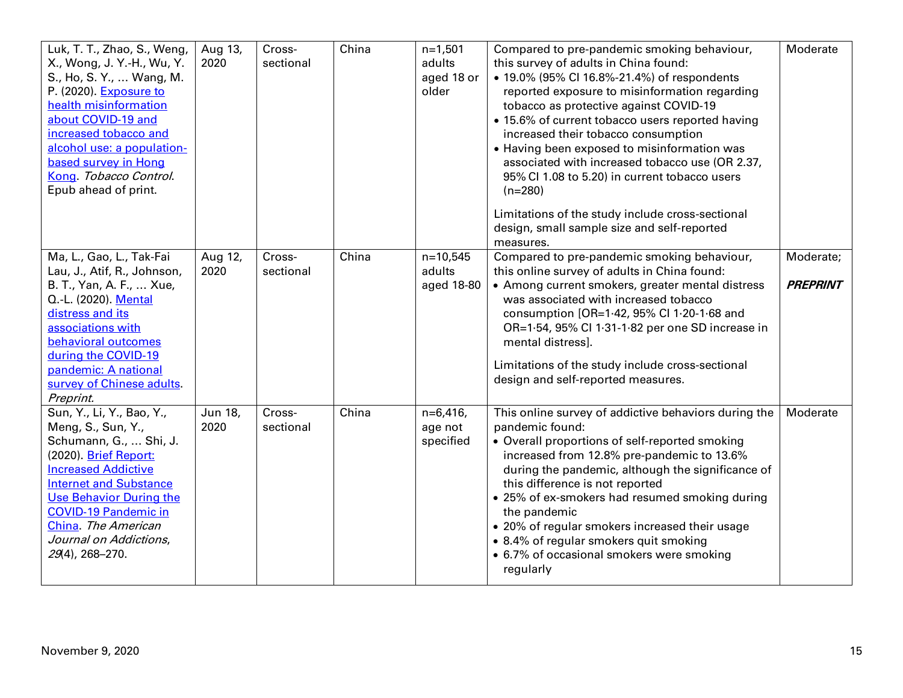| Luk, T. T., Zhao, S., Weng,<br>X., Wong, J. Y.-H., Wu, Y.<br>S., Ho, S. Y.,  Wang, M.<br>P. (2020). Exposure to<br>health misinformation<br>about COVID-19 and<br>increased tobacco and<br>alcohol use: a population-<br>based survey in Hong<br>Kong. Tobacco Control.<br>Epub ahead of print.        | Aug 13,<br>2020 | Cross-<br>sectional | China | $n=1,501$<br>adults<br>aged 18 or<br>older | Compared to pre-pandemic smoking behaviour,<br>this survey of adults in China found:<br>• 19.0% (95% CI 16.8%-21.4%) of respondents<br>reported exposure to misinformation regarding<br>tobacco as protective against COVID-19<br>• 15.6% of current tobacco users reported having<br>increased their tobacco consumption<br>• Having been exposed to misinformation was<br>associated with increased tobacco use (OR 2.37,<br>95% Cl 1.08 to 5.20) in current tobacco users<br>$(n=280)$<br>Limitations of the study include cross-sectional<br>design, small sample size and self-reported<br>measures. | Moderate              |
|--------------------------------------------------------------------------------------------------------------------------------------------------------------------------------------------------------------------------------------------------------------------------------------------------------|-----------------|---------------------|-------|--------------------------------------------|-----------------------------------------------------------------------------------------------------------------------------------------------------------------------------------------------------------------------------------------------------------------------------------------------------------------------------------------------------------------------------------------------------------------------------------------------------------------------------------------------------------------------------------------------------------------------------------------------------------|-----------------------|
| Ma, L., Gao, L., Tak-Fai<br>Lau, J., Atif, R., Johnson,<br>B. T., Yan, A. F.,  Xue,<br>O.-L. (2020). Mental<br>distress and its<br>associations with<br>behavioral outcomes<br>during the COVID-19<br>pandemic: A national<br>survey of Chinese adults.<br>Preprint.                                   | Aug 12,<br>2020 | Cross-<br>sectional | China | $n=10,545$<br>adults<br>aged 18-80         | Compared to pre-pandemic smoking behaviour,<br>this online survey of adults in China found:<br>• Among current smokers, greater mental distress<br>was associated with increased tobacco<br>consumption [OR=1.42, 95% Cl 1.20-1.68 and<br>OR=1.54, 95% Cl 1.31-1.82 per one SD increase in<br>mental distress].<br>Limitations of the study include cross-sectional<br>design and self-reported measures.                                                                                                                                                                                                 | Moderate;<br>PREPRINT |
| Sun, Y., Li, Y., Bao, Y.,<br>Meng, S., Sun, Y.,<br>Schumann, G.,  Shi, J.<br>(2020). Brief Report:<br><b>Increased Addictive</b><br><b>Internet and Substance</b><br><b>Use Behavior During the</b><br><b>COVID-19 Pandemic in</b><br>China. The American<br>Journal on Addictions,<br>29(4), 268-270. | Jun 18,<br>2020 | Cross-<br>sectional | China | $n=6,416,$<br>age not<br>specified         | This online survey of addictive behaviors during the<br>pandemic found:<br>• Overall proportions of self-reported smoking<br>increased from 12.8% pre-pandemic to 13.6%<br>during the pandemic, although the significance of<br>this difference is not reported<br>• 25% of ex-smokers had resumed smoking during<br>the pandemic<br>• 20% of regular smokers increased their usage<br>• 8.4% of regular smokers quit smoking<br>• 6.7% of occasional smokers were smoking<br>regularly                                                                                                                   | Moderate              |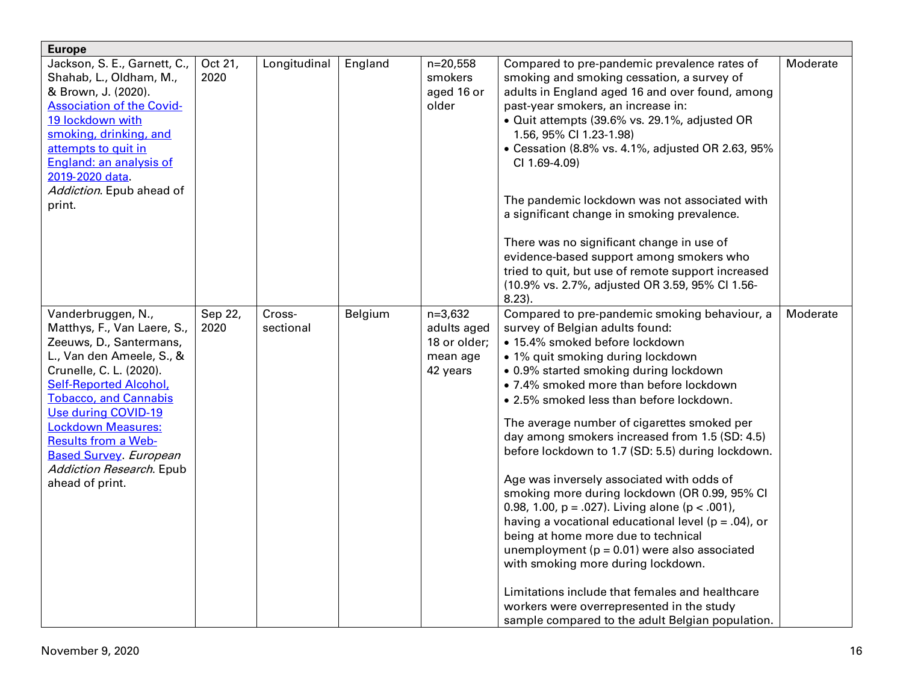| <b>Europe</b>                                    |         |              |         |              |                                                         |          |
|--------------------------------------------------|---------|--------------|---------|--------------|---------------------------------------------------------|----------|
| Jackson, S. E., Garnett, C.,                     | Oct 21, | Longitudinal | England | $n=20,558$   | Compared to pre-pandemic prevalence rates of            | Moderate |
| Shahab, L., Oldham, M.,                          | 2020    |              |         | smokers      | smoking and smoking cessation, a survey of              |          |
| & Brown, J. (2020).                              |         |              |         | aged 16 or   | adults in England aged 16 and over found, among         |          |
| <b>Association of the Covid-</b>                 |         |              |         | older        | past-year smokers, an increase in:                      |          |
| 19 lockdown with                                 |         |              |         |              | · Quit attempts (39.6% vs. 29.1%, adjusted OR           |          |
| smoking, drinking, and                           |         |              |         |              | 1.56, 95% CI 1.23-1.98)                                 |          |
| attempts to quit in                              |         |              |         |              | • Cessation (8.8% vs. 4.1%, adjusted OR 2.63, 95%       |          |
| England: an analysis of                          |         |              |         |              | CI 1.69-4.09)                                           |          |
| 2019-2020 data.                                  |         |              |         |              |                                                         |          |
| Addiction. Epub ahead of                         |         |              |         |              |                                                         |          |
| print.                                           |         |              |         |              | The pandemic lockdown was not associated with           |          |
|                                                  |         |              |         |              | a significant change in smoking prevalence.             |          |
|                                                  |         |              |         |              | There was no significant change in use of               |          |
|                                                  |         |              |         |              | evidence-based support among smokers who                |          |
|                                                  |         |              |         |              | tried to quit, but use of remote support increased      |          |
|                                                  |         |              |         |              | (10.9% vs. 2.7%, adjusted OR 3.59, 95% Cl 1.56-         |          |
|                                                  |         |              |         |              | $8.23$ ).                                               |          |
| Vanderbruggen, N.,                               | Sep 22, | Cross-       | Belgium | $n=3,632$    | Compared to pre-pandemic smoking behaviour, a           | Moderate |
| Matthys, F., Van Laere, S.,                      | 2020    | sectional    |         | adults aged  | survey of Belgian adults found:                         |          |
| Zeeuws, D., Santermans,                          |         |              |         | 18 or older; | · 15.4% smoked before lockdown                          |          |
| L., Van den Ameele, S., &                        |         |              |         | mean age     | • 1% quit smoking during lockdown                       |          |
| Crunelle, C. L. (2020).                          |         |              |         | 42 years     | . 0.9% started smoking during lockdown                  |          |
| <b>Self-Reported Alcohol,</b>                    |         |              |         |              | • 7.4% smoked more than before lockdown                 |          |
| <b>Tobacco, and Cannabis</b>                     |         |              |         |              | . 2.5% smoked less than before lockdown.                |          |
| Use during COVID-19<br><b>Lockdown Measures:</b> |         |              |         |              | The average number of cigarettes smoked per             |          |
| <b>Results from a Web-</b>                       |         |              |         |              | day among smokers increased from 1.5 (SD: 4.5)          |          |
| <b>Based Survey</b> European                     |         |              |         |              | before lockdown to 1.7 (SD: 5.5) during lockdown.       |          |
| Addiction Research. Epub                         |         |              |         |              |                                                         |          |
| ahead of print.                                  |         |              |         |              | Age was inversely associated with odds of               |          |
|                                                  |         |              |         |              | smoking more during lockdown (OR 0.99, 95% CI           |          |
|                                                  |         |              |         |              | 0.98, 1.00, $p = .027$ ). Living alone ( $p < .001$ ),  |          |
|                                                  |         |              |         |              | having a vocational educational level ( $p = .04$ ), or |          |
|                                                  |         |              |         |              | being at home more due to technical                     |          |
|                                                  |         |              |         |              | unemployment ( $p = 0.01$ ) were also associated        |          |
|                                                  |         |              |         |              | with smoking more during lockdown.                      |          |
|                                                  |         |              |         |              |                                                         |          |
|                                                  |         |              |         |              | Limitations include that females and healthcare         |          |
|                                                  |         |              |         |              | workers were overrepresented in the study               |          |
|                                                  |         |              |         |              | sample compared to the adult Belgian population.        |          |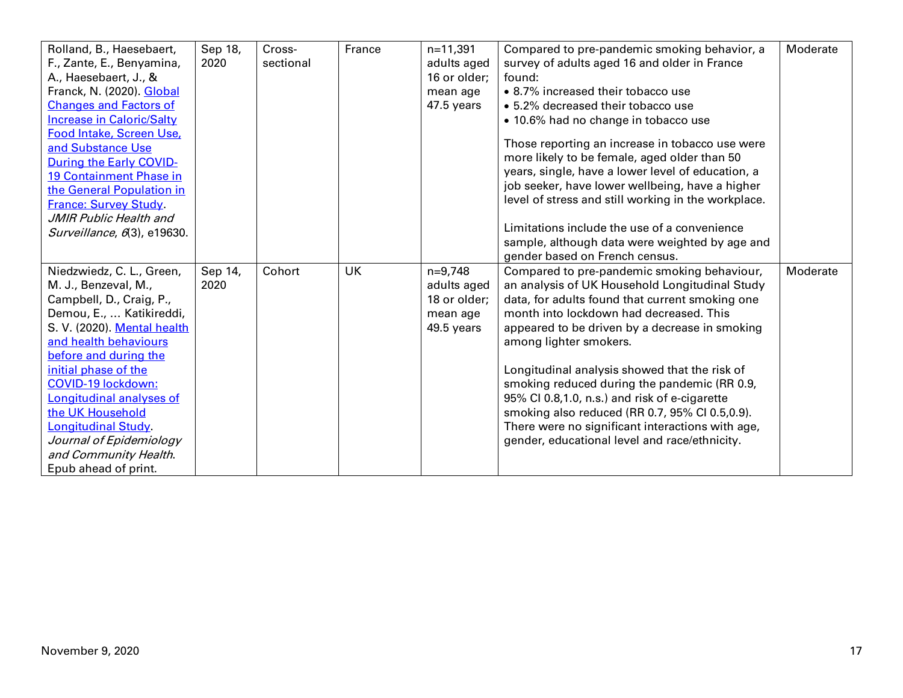| Rolland, B., Haesebaert,<br>Compared to pre-pandemic smoking behavior, a<br>F., Zante, E., Benyamina,<br>2020<br>sectional<br>adults aged<br>survey of adults aged 16 and older in France<br>A., Haesebaert, J., &<br>16 or older;<br>found:<br>Franck, N. (2020). Global<br>• 8.7% increased their tobacco use<br>mean age<br><b>Changes and Factors of</b><br>47.5 years<br>• 5.2% decreased their tobacco use<br><b>Increase in Caloric/Salty</b><br>• 10.6% had no change in tobacco use<br>Food Intake, Screen Use,<br>Those reporting an increase in tobacco use were<br>and Substance Use<br>more likely to be female, aged older than 50<br><b>During the Early COVID-</b><br>years, single, have a lower level of education, a<br>19 Containment Phase in<br>job seeker, have lower wellbeing, have a higher<br>the General Population in |
|----------------------------------------------------------------------------------------------------------------------------------------------------------------------------------------------------------------------------------------------------------------------------------------------------------------------------------------------------------------------------------------------------------------------------------------------------------------------------------------------------------------------------------------------------------------------------------------------------------------------------------------------------------------------------------------------------------------------------------------------------------------------------------------------------------------------------------------------------|
|                                                                                                                                                                                                                                                                                                                                                                                                                                                                                                                                                                                                                                                                                                                                                                                                                                                    |
|                                                                                                                                                                                                                                                                                                                                                                                                                                                                                                                                                                                                                                                                                                                                                                                                                                                    |
|                                                                                                                                                                                                                                                                                                                                                                                                                                                                                                                                                                                                                                                                                                                                                                                                                                                    |
|                                                                                                                                                                                                                                                                                                                                                                                                                                                                                                                                                                                                                                                                                                                                                                                                                                                    |
|                                                                                                                                                                                                                                                                                                                                                                                                                                                                                                                                                                                                                                                                                                                                                                                                                                                    |
|                                                                                                                                                                                                                                                                                                                                                                                                                                                                                                                                                                                                                                                                                                                                                                                                                                                    |
|                                                                                                                                                                                                                                                                                                                                                                                                                                                                                                                                                                                                                                                                                                                                                                                                                                                    |
|                                                                                                                                                                                                                                                                                                                                                                                                                                                                                                                                                                                                                                                                                                                                                                                                                                                    |
|                                                                                                                                                                                                                                                                                                                                                                                                                                                                                                                                                                                                                                                                                                                                                                                                                                                    |
|                                                                                                                                                                                                                                                                                                                                                                                                                                                                                                                                                                                                                                                                                                                                                                                                                                                    |
| level of stress and still working in the workplace.<br><b>France: Survey Study.</b>                                                                                                                                                                                                                                                                                                                                                                                                                                                                                                                                                                                                                                                                                                                                                                |
| JMIR Public Health and                                                                                                                                                                                                                                                                                                                                                                                                                                                                                                                                                                                                                                                                                                                                                                                                                             |
| Limitations include the use of a convenience<br>Surveillance, 6(3), e19630.                                                                                                                                                                                                                                                                                                                                                                                                                                                                                                                                                                                                                                                                                                                                                                        |
| sample, although data were weighted by age and                                                                                                                                                                                                                                                                                                                                                                                                                                                                                                                                                                                                                                                                                                                                                                                                     |
| gender based on French census.                                                                                                                                                                                                                                                                                                                                                                                                                                                                                                                                                                                                                                                                                                                                                                                                                     |
| Niedzwiedz, C. L., Green,<br>Sep 14,<br><b>UK</b><br>$n=9,748$<br>Compared to pre-pandemic smoking behaviour,<br>Moderate<br>Cohort                                                                                                                                                                                                                                                                                                                                                                                                                                                                                                                                                                                                                                                                                                                |
| M. J., Benzeval, M.,<br>2020<br>adults aged<br>an analysis of UK Household Longitudinal Study                                                                                                                                                                                                                                                                                                                                                                                                                                                                                                                                                                                                                                                                                                                                                      |
| Campbell, D., Craig, P.,<br>18 or older;<br>data, for adults found that current smoking one                                                                                                                                                                                                                                                                                                                                                                                                                                                                                                                                                                                                                                                                                                                                                        |
| Demou, E.,  Katikireddi,<br>month into lockdown had decreased. This<br>mean age                                                                                                                                                                                                                                                                                                                                                                                                                                                                                                                                                                                                                                                                                                                                                                    |
| S. V. (2020). Mental health<br>appeared to be driven by a decrease in smoking<br>49.5 years                                                                                                                                                                                                                                                                                                                                                                                                                                                                                                                                                                                                                                                                                                                                                        |
| and health behaviours<br>among lighter smokers.                                                                                                                                                                                                                                                                                                                                                                                                                                                                                                                                                                                                                                                                                                                                                                                                    |
| before and during the                                                                                                                                                                                                                                                                                                                                                                                                                                                                                                                                                                                                                                                                                                                                                                                                                              |
| initial phase of the<br>Longitudinal analysis showed that the risk of<br><b>COVID-19 lockdown:</b>                                                                                                                                                                                                                                                                                                                                                                                                                                                                                                                                                                                                                                                                                                                                                 |
| smoking reduced during the pandemic (RR 0.9,<br>Longitudinal analyses of                                                                                                                                                                                                                                                                                                                                                                                                                                                                                                                                                                                                                                                                                                                                                                           |
| 95% CI 0.8,1.0, n.s.) and risk of e-cigarette<br>the UK Household                                                                                                                                                                                                                                                                                                                                                                                                                                                                                                                                                                                                                                                                                                                                                                                  |
| smoking also reduced (RR 0.7, 95% Cl 0.5,0.9).<br>Longitudinal Study.<br>There were no significant interactions with age,                                                                                                                                                                                                                                                                                                                                                                                                                                                                                                                                                                                                                                                                                                                          |
| Journal of Epidemiology<br>gender, educational level and race/ethnicity.                                                                                                                                                                                                                                                                                                                                                                                                                                                                                                                                                                                                                                                                                                                                                                           |
| and Community Health.                                                                                                                                                                                                                                                                                                                                                                                                                                                                                                                                                                                                                                                                                                                                                                                                                              |
| Epub ahead of print.                                                                                                                                                                                                                                                                                                                                                                                                                                                                                                                                                                                                                                                                                                                                                                                                                               |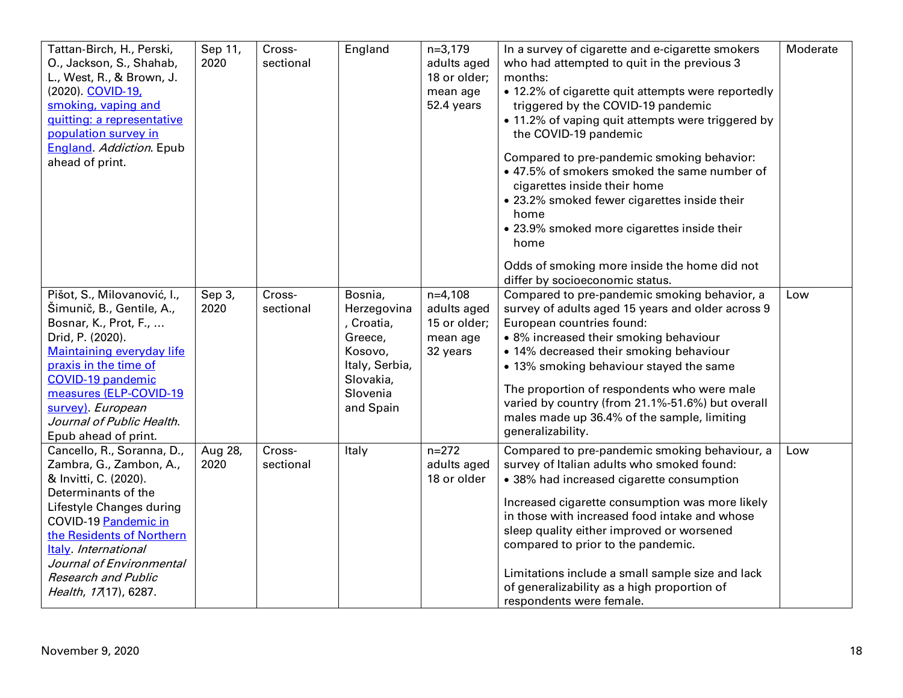| Tattan-Birch, H., Perski,<br>O., Jackson, S., Shahab,<br>L., West, R., & Brown, J.<br>(2020). COVID-19,<br>smoking, vaping and<br>quitting: a representative<br>population survey in<br><b>England</b> Addiction. Epub<br>ahead of print.                                                          | Sep 11,<br>2020 | Cross-<br>sectional | England                                                                                                          | $n=3,179$<br>adults aged<br>18 or older;<br>mean age<br>52.4 years | In a survey of cigarette and e-cigarette smokers<br>who had attempted to quit in the previous 3<br>months:<br>• 12.2% of cigarette quit attempts were reportedly<br>triggered by the COVID-19 pandemic<br>• 11.2% of vaping quit attempts were triggered by<br>the COVID-19 pandemic<br>Compared to pre-pandemic smoking behavior:<br>• 47.5% of smokers smoked the same number of<br>cigarettes inside their home<br>• 23.2% smoked fewer cigarettes inside their<br>home<br>• 23.9% smoked more cigarettes inside their<br>home<br>Odds of smoking more inside the home did not<br>differ by socioeconomic status. | Moderate |
|----------------------------------------------------------------------------------------------------------------------------------------------------------------------------------------------------------------------------------------------------------------------------------------------------|-----------------|---------------------|------------------------------------------------------------------------------------------------------------------|--------------------------------------------------------------------|----------------------------------------------------------------------------------------------------------------------------------------------------------------------------------------------------------------------------------------------------------------------------------------------------------------------------------------------------------------------------------------------------------------------------------------------------------------------------------------------------------------------------------------------------------------------------------------------------------------------|----------|
| Pišot, S., Milovanović, I.,<br>Šimunič, B., Gentile, A.,<br>Bosnar, K., Prot, F.,<br>Drid, P. (2020).<br><b>Maintaining everyday life</b><br>praxis in the time of<br><b>COVID-19 pandemic</b><br>measures (ELP-COVID-19<br>survey). European<br>Journal of Public Health.<br>Epub ahead of print. | Sep 3,<br>2020  | Cross-<br>sectional | Bosnia,<br>Herzegovina<br>Croatia,<br>Greece,<br>Kosovo,<br>Italy, Serbia,<br>Slovakia,<br>Slovenia<br>and Spain | $n=4,108$<br>adults aged<br>15 or older;<br>mean age<br>32 years   | Compared to pre-pandemic smoking behavior, a<br>survey of adults aged 15 years and older across 9<br>European countries found:<br>• 8% increased their smoking behaviour<br>• 14% decreased their smoking behaviour<br>• 13% smoking behaviour stayed the same<br>The proportion of respondents who were male<br>varied by country (from 21.1%-51.6%) but overall<br>males made up 36.4% of the sample, limiting<br>generalizability.                                                                                                                                                                                | Low      |
| Cancello, R., Soranna, D.,<br>Zambra, G., Zambon, A.,<br>& Invitti, C. (2020).<br>Determinants of the<br>Lifestyle Changes during<br>COVID-19 Pandemic in<br>the Residents of Northern<br>Italy. International<br>Journal of Environmental<br><b>Research and Public</b><br>Health, 17(17), 6287.  | Aug 28,<br>2020 | Cross-<br>sectional | Italy                                                                                                            | $n = 272$<br>adults aged<br>18 or older                            | Compared to pre-pandemic smoking behaviour, a<br>survey of Italian adults who smoked found:<br>• 38% had increased cigarette consumption<br>Increased cigarette consumption was more likely<br>in those with increased food intake and whose<br>sleep quality either improved or worsened<br>compared to prior to the pandemic.<br>Limitations include a small sample size and lack<br>of generalizability as a high proportion of<br>respondents were female.                                                                                                                                                       | Low      |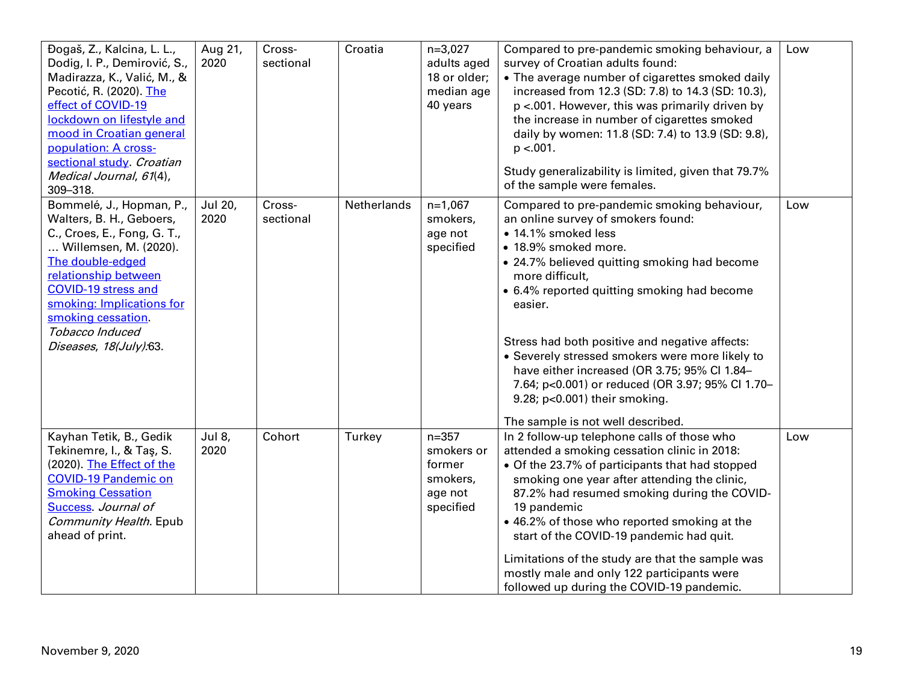| Đogaš, Z., Kalcina, L. L.,<br>Dodig, I. P., Demirović, S.,<br>Madirazza, K., Valić, M., &<br>Pecotić, R. (2020). The<br>effect of COVID-19<br>lockdown on lifestyle and<br>mood in Croatian general<br>population: A cross-<br>sectional study. Croatian<br>Medical Journal, 61(4),<br>309-318. | Aug 21,<br>2020 | Cross-<br>sectional | Croatia     | $n=3,027$<br>adults aged<br>18 or older;<br>median age<br>40 years    | Compared to pre-pandemic smoking behaviour, a<br>survey of Croatian adults found:<br>• The average number of cigarettes smoked daily<br>increased from 12.3 (SD: 7.8) to 14.3 (SD: 10.3),<br>p <.001. However, this was primarily driven by<br>the increase in number of cigarettes smoked<br>daily by women: 11.8 (SD: 7.4) to 13.9 (SD: 9.8),<br>$p < 001$ .<br>Study generalizability is limited, given that 79.7%<br>of the sample were females.                                                                                         | Low |
|-------------------------------------------------------------------------------------------------------------------------------------------------------------------------------------------------------------------------------------------------------------------------------------------------|-----------------|---------------------|-------------|-----------------------------------------------------------------------|----------------------------------------------------------------------------------------------------------------------------------------------------------------------------------------------------------------------------------------------------------------------------------------------------------------------------------------------------------------------------------------------------------------------------------------------------------------------------------------------------------------------------------------------|-----|
| Bommelé, J., Hopman, P.,<br>Walters, B. H., Geboers,<br>C., Croes, E., Fong, G. T.,<br>Willemsen, M. (2020).<br>The double-edged<br>relationship between<br><b>COVID-19 stress and</b><br>smoking: Implications for<br>smoking cessation.<br>Tobacco Induced<br>Diseases, 18(July):63.          | Jul 20,<br>2020 | Cross-<br>sectional | Netherlands | $n=1,067$<br>smokers,<br>age not<br>specified                         | Compared to pre-pandemic smoking behaviour,<br>an online survey of smokers found:<br>· 14.1% smoked less<br>• 18.9% smoked more.<br>• 24.7% believed quitting smoking had become<br>more difficult,<br>• 6.4% reported quitting smoking had become<br>easier.<br>Stress had both positive and negative affects:<br>• Severely stressed smokers were more likely to<br>have either increased (OR 3.75; 95% Cl 1.84-<br>7.64; p<0.001) or reduced (OR 3.97; 95% Cl 1.70-<br>9.28; p<0.001) their smoking.<br>The sample is not well described. | Low |
| Kayhan Tetik, B., Gedik<br>Tekinemre, I., & Taş, S.<br>(2020). The Effect of the<br><b>COVID-19 Pandemic on</b><br><b>Smoking Cessation</b><br>Success Journal of<br>Community Health. Epub<br>ahead of print.                                                                                  | Jul 8,<br>2020  | Cohort              | Turkey      | $n = 357$<br>smokers or<br>former<br>smokers,<br>age not<br>specified | In 2 follow-up telephone calls of those who<br>attended a smoking cessation clinic in 2018:<br>• Of the 23.7% of participants that had stopped<br>smoking one year after attending the clinic,<br>87.2% had resumed smoking during the COVID-<br>19 pandemic<br>• 46.2% of those who reported smoking at the<br>start of the COVID-19 pandemic had quit.<br>Limitations of the study are that the sample was<br>mostly male and only 122 participants were<br>followed up during the COVID-19 pandemic.                                      | Low |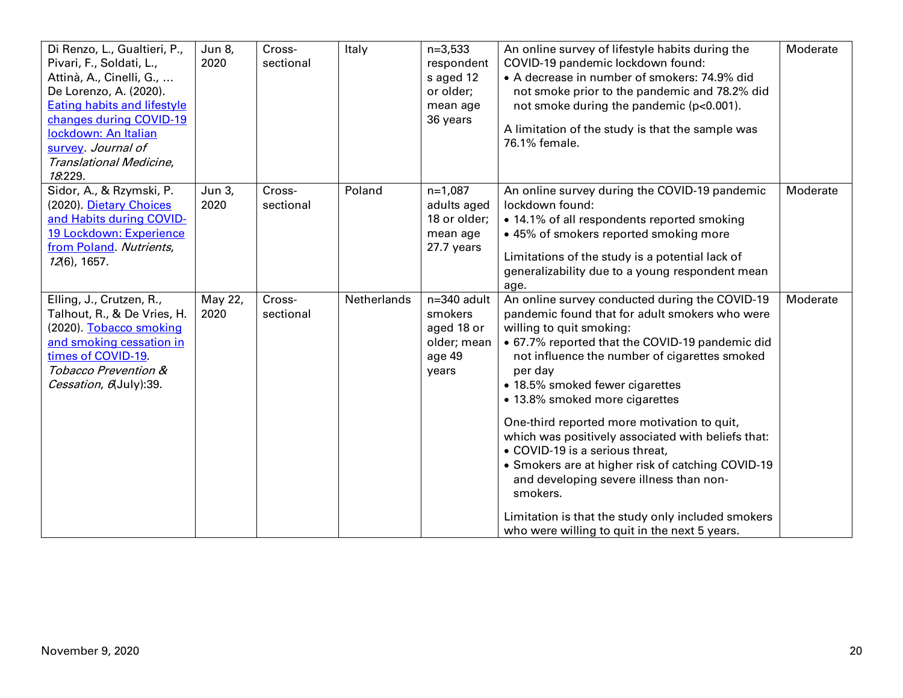| Di Renzo, L., Gualtieri, P.,<br>Pivari, F., Soldati, L.,<br>Attinà, A., Cinelli, G.,<br>De Lorenzo, A. (2020).<br><b>Eating habits and lifestyle</b><br>changes during COVID-19<br>lockdown: An Italian<br>survey. Journal of<br>Translational Medicine,<br>18.229. | Jun 8,<br>2020  | Cross-<br>sectional | Italy       | $n=3,533$<br>respondent<br>s aged 12<br>or older;<br>mean age<br>36 years | An online survey of lifestyle habits during the<br>COVID-19 pandemic lockdown found:<br>• A decrease in number of smokers: 74.9% did<br>not smoke prior to the pandemic and 78.2% did<br>not smoke during the pandemic (p<0.001).<br>A limitation of the study is that the sample was<br>76.1% female.                                                                                                                                                                                                                                                                                                                                                                      | Moderate |
|---------------------------------------------------------------------------------------------------------------------------------------------------------------------------------------------------------------------------------------------------------------------|-----------------|---------------------|-------------|---------------------------------------------------------------------------|-----------------------------------------------------------------------------------------------------------------------------------------------------------------------------------------------------------------------------------------------------------------------------------------------------------------------------------------------------------------------------------------------------------------------------------------------------------------------------------------------------------------------------------------------------------------------------------------------------------------------------------------------------------------------------|----------|
| Sidor, A., & Rzymski, P.<br>(2020). Dietary Choices<br>and Habits during COVID-<br>19 Lockdown: Experience<br>from Poland. Nutrients,<br>12(6), 1657.                                                                                                               | Jun 3,<br>2020  | Cross-<br>sectional | Poland      | $n=1,087$<br>adults aged<br>18 or older;<br>mean age<br>27.7 years        | An online survey during the COVID-19 pandemic<br>lockdown found:<br>• 14.1% of all respondents reported smoking<br>• 45% of smokers reported smoking more<br>Limitations of the study is a potential lack of<br>generalizability due to a young respondent mean<br>age.                                                                                                                                                                                                                                                                                                                                                                                                     | Moderate |
| Elling, J., Crutzen, R.,<br>Talhout, R., & De Vries, H.<br>(2020). Tobacco smoking<br>and smoking cessation in<br>times of COVID-19.<br>Tobacco Prevention &<br>Cessation, 6 July): 39.                                                                             | May 22,<br>2020 | Cross-<br>sectional | Netherlands | n=340 adult<br>smokers<br>aged 18 or<br>older; mean<br>age 49<br>years    | An online survey conducted during the COVID-19<br>pandemic found that for adult smokers who were<br>willing to quit smoking:<br>• 67.7% reported that the COVID-19 pandemic did<br>not influence the number of cigarettes smoked<br>per day<br>• 18.5% smoked fewer cigarettes<br>• 13.8% smoked more cigarettes<br>One-third reported more motivation to quit,<br>which was positively associated with beliefs that:<br>• COVID-19 is a serious threat,<br>• Smokers are at higher risk of catching COVID-19<br>and developing severe illness than non-<br>smokers.<br>Limitation is that the study only included smokers<br>who were willing to quit in the next 5 years. | Moderate |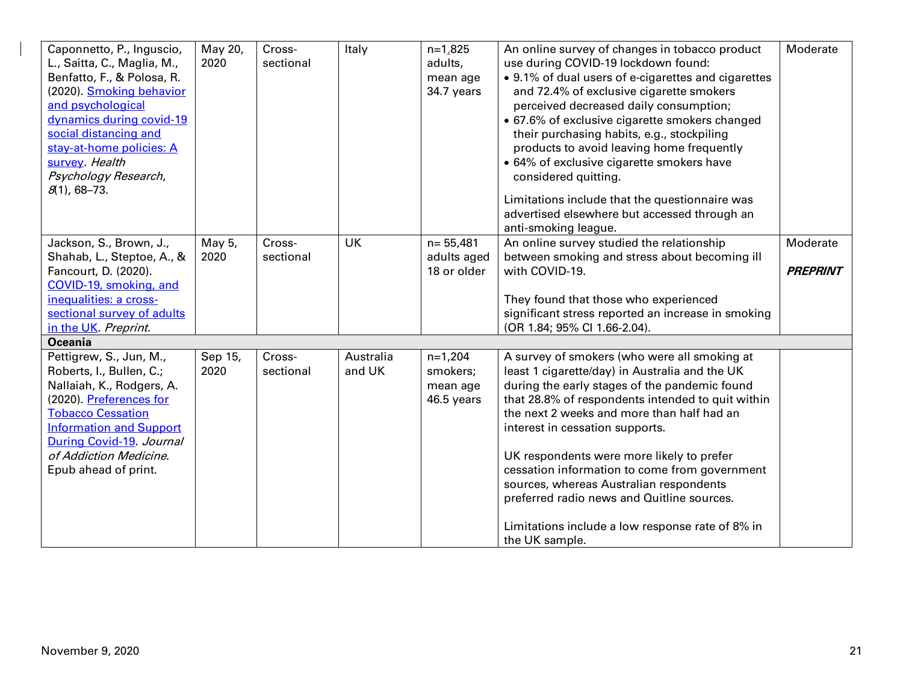|                                |         | Cross-    | Italy     | $n=1,825$    |                                                     | Moderate        |
|--------------------------------|---------|-----------|-----------|--------------|-----------------------------------------------------|-----------------|
| Caponnetto, P., Inguscio,      | May 20, |           |           |              | An online survey of changes in tobacco product      |                 |
| L., Saitta, C., Maglia, M.,    | 2020    | sectional |           | adults,      | use during COVID-19 lockdown found:                 |                 |
| Benfatto, F., & Polosa, R.     |         |           |           | mean age     | • 9.1% of dual users of e-cigarettes and cigarettes |                 |
| (2020). Smoking behavior       |         |           |           | 34.7 years   | and 72.4% of exclusive cigarette smokers            |                 |
| and psychological              |         |           |           |              | perceived decreased daily consumption;              |                 |
| dynamics during covid-19       |         |           |           |              | • 67.6% of exclusive cigarette smokers changed      |                 |
| social distancing and          |         |           |           |              | their purchasing habits, e.g., stockpiling          |                 |
| stay-at-home policies: A       |         |           |           |              | products to avoid leaving home frequently           |                 |
| survey. Health                 |         |           |           |              | • 64% of exclusive cigarette smokers have           |                 |
| Psychology Research,           |         |           |           |              | considered quitting.                                |                 |
| $8(1)$ , 68-73.                |         |           |           |              |                                                     |                 |
|                                |         |           |           |              | Limitations include that the questionnaire was      |                 |
|                                |         |           |           |              | advertised elsewhere but accessed through an        |                 |
|                                |         |           |           |              | anti-smoking league.                                |                 |
| Jackson, S., Brown, J.,        | May 5,  | Cross-    | <b>UK</b> | $n = 55,481$ | An online survey studied the relationship           | Moderate        |
| Shahab, L., Steptoe, A., &     | 2020    | sectional |           | adults aged  | between smoking and stress about becoming ill       |                 |
| Fancourt, D. (2020).           |         |           |           | 18 or older  | with COVID-19.                                      | <b>PREPRINT</b> |
| COVID-19, smoking, and         |         |           |           |              |                                                     |                 |
| inequalities: a cross-         |         |           |           |              | They found that those who experienced               |                 |
| sectional survey of adults     |         |           |           |              | significant stress reported an increase in smoking  |                 |
| in the UK. Preprint.           |         |           |           |              | (OR 1.84; 95% CI 1.66-2.04).                        |                 |
| <b>Oceania</b>                 |         |           |           |              |                                                     |                 |
| Pettigrew, S., Jun, M.,        | Sep 15, | Cross-    | Australia | $n=1,204$    | A survey of smokers (who were all smoking at        |                 |
| Roberts, I., Bullen, C.;       | 2020    | sectional | and UK    | smokers;     | least 1 cigarette/day) in Australia and the UK      |                 |
| Nallaiah, K., Rodgers, A.      |         |           |           | mean age     | during the early stages of the pandemic found       |                 |
| (2020). Preferences for        |         |           |           | 46.5 years   | that 28.8% of respondents intended to quit within   |                 |
| <b>Tobacco Cessation</b>       |         |           |           |              | the next 2 weeks and more than half had an          |                 |
| <b>Information and Support</b> |         |           |           |              |                                                     |                 |
|                                |         |           |           |              | interest in cessation supports.                     |                 |
| During Covid-19. Journal       |         |           |           |              |                                                     |                 |
| of Addiction Medicine.         |         |           |           |              | UK respondents were more likely to prefer           |                 |
| Epub ahead of print.           |         |           |           |              | cessation information to come from government       |                 |
|                                |         |           |           |              | sources, whereas Australian respondents             |                 |
|                                |         |           |           |              | preferred radio news and Quitline sources.          |                 |
|                                |         |           |           |              |                                                     |                 |
|                                |         |           |           |              | Limitations include a low response rate of 8% in    |                 |
|                                |         |           |           |              | the UK sample.                                      |                 |

 $\overline{\phantom{a}}$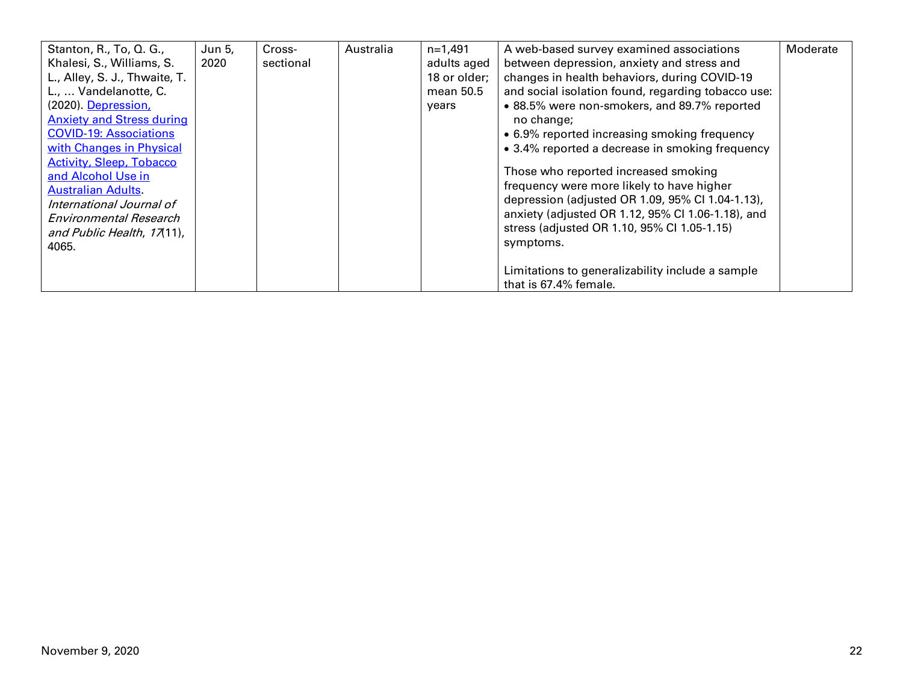| Stanton, R., To, Q. G.,          | Jun 5, | Cross-    | Australia | $n=1,491$    | A web-based survey examined associations           | Moderate |
|----------------------------------|--------|-----------|-----------|--------------|----------------------------------------------------|----------|
| Khalesi, S., Williams, S.        | 2020   | sectional |           | adults aged  | between depression, anxiety and stress and         |          |
| L., Alley, S. J., Thwaite, T.    |        |           |           | 18 or older; | changes in health behaviors, during COVID-19       |          |
| L.,  Vandelanotte, C.            |        |           |           | mean 50.5    | and social isolation found, regarding tobacco use: |          |
| (2020). Depression,              |        |           |           | years        | • 88.5% were non-smokers, and 89.7% reported       |          |
| <b>Anxiety and Stress during</b> |        |           |           |              | no change;                                         |          |
| <b>COVID-19: Associations</b>    |        |           |           |              | • 6.9% reported increasing smoking frequency       |          |
| with Changes in Physical         |        |           |           |              | • 3.4% reported a decrease in smoking frequency    |          |
| <b>Activity, Sleep, Tobacco</b>  |        |           |           |              |                                                    |          |
| and Alcohol Use in               |        |           |           |              | Those who reported increased smoking               |          |
| <b>Australian Adults</b>         |        |           |           |              | frequency were more likely to have higher          |          |
| International Journal of         |        |           |           |              | depression (adjusted OR 1.09, 95% Cl 1.04-1.13),   |          |
| Environmental Research           |        |           |           |              | anxiety (adjusted OR 1.12, 95% CI 1.06-1.18), and  |          |
| and Public Health, 17(11),       |        |           |           |              | stress (adjusted OR 1.10, 95% Cl 1.05-1.15)        |          |
| 4065.                            |        |           |           |              | symptoms.                                          |          |
|                                  |        |           |           |              |                                                    |          |
|                                  |        |           |           |              | Limitations to generalizability include a sample   |          |
|                                  |        |           |           |              | that is 67.4% female.                              |          |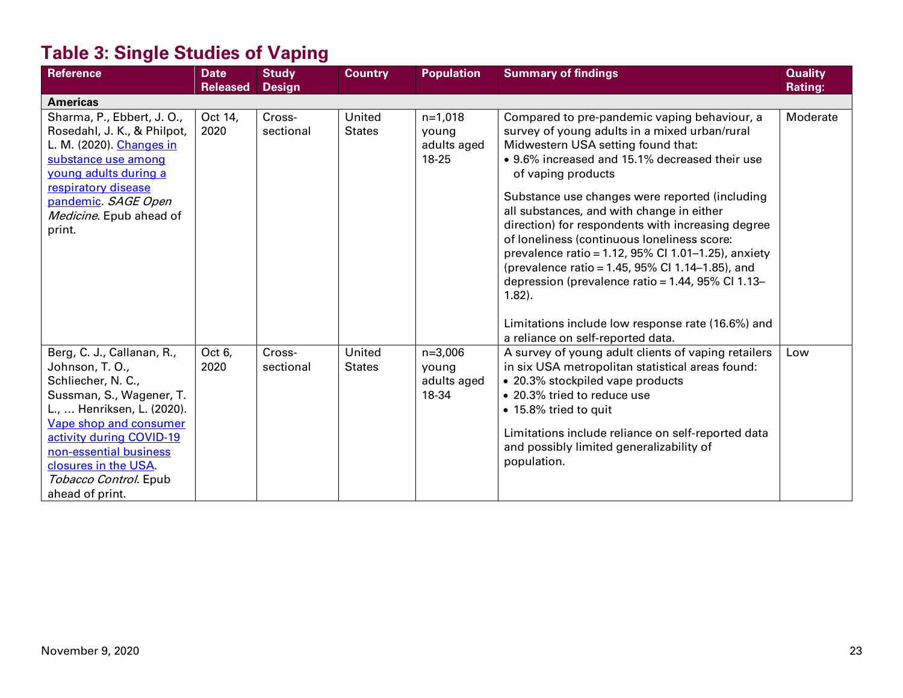# **Table 3: Single Studies of Vaping**

| <b>Reference</b>                                                                                                                                                                                                                                                                  | <b>Date</b><br><b>Released</b> | <b>Study</b><br><b>Design</b> | <b>Country</b>          | <b>Population</b>                          | <b>Summary of findings</b>                                                                                                                                                                                                                                                                                                                                                                                                                                                                                                                                                                     | <b>Quality</b><br><b>Rating:</b> |
|-----------------------------------------------------------------------------------------------------------------------------------------------------------------------------------------------------------------------------------------------------------------------------------|--------------------------------|-------------------------------|-------------------------|--------------------------------------------|------------------------------------------------------------------------------------------------------------------------------------------------------------------------------------------------------------------------------------------------------------------------------------------------------------------------------------------------------------------------------------------------------------------------------------------------------------------------------------------------------------------------------------------------------------------------------------------------|----------------------------------|
| <b>Americas</b>                                                                                                                                                                                                                                                                   |                                |                               |                         |                                            |                                                                                                                                                                                                                                                                                                                                                                                                                                                                                                                                                                                                |                                  |
| Sharma, P., Ebbert, J. O.,<br>Rosedahl, J. K., & Philpot,<br>L. M. (2020). Changes in<br>substance use among<br>voung adults during a<br>respiratory disease<br>pandemic. SAGE Open<br>Medicine. Epub ahead of<br>print.                                                          | Oct 14,<br>2020                | Cross-<br>sectional           | United<br><b>States</b> | $n=1,018$<br>young<br>adults aged<br>18-25 | Compared to pre-pandemic vaping behaviour, a<br>survey of young adults in a mixed urban/rural<br>Midwestern USA setting found that:<br>• 9.6% increased and 15.1% decreased their use<br>of vaping products<br>Substance use changes were reported (including<br>all substances, and with change in either<br>direction) for respondents with increasing degree<br>of loneliness (continuous loneliness score:<br>prevalence ratio = 1.12, $95\%$ Cl 1.01-1.25), anxiety<br>(prevalence ratio = 1.45, 95% Cl 1.14-1.85), and<br>depression (prevalence ratio = 1.44, 95% Cl 1.13-<br>$1.82$ ). | Moderate                         |
|                                                                                                                                                                                                                                                                                   |                                |                               |                         |                                            | Limitations include low response rate (16.6%) and<br>a reliance on self-reported data.                                                                                                                                                                                                                                                                                                                                                                                                                                                                                                         |                                  |
| Berg, C. J., Callanan, R.,<br>Johnson, T. O.,<br>Schliecher, N. C.,<br>Sussman, S., Wagener, T.<br>L.,  Henriksen, L. (2020).<br>Vape shop and consumer<br>activity during COVID-19<br>non-essential business<br>closures in the USA.<br>Tobacco Control. Epub<br>ahead of print. | Oct 6,<br>2020                 | Cross-<br>sectional           | United<br><b>States</b> | $n=3,006$<br>young<br>adults aged<br>18-34 | A survey of young adult clients of vaping retailers<br>in six USA metropolitan statistical areas found:<br>• 20.3% stockpiled vape products<br>• 20.3% tried to reduce use<br>• 15.8% tried to quit<br>Limitations include reliance on self-reported data<br>and possibly limited generalizability of<br>population.                                                                                                                                                                                                                                                                           | Low                              |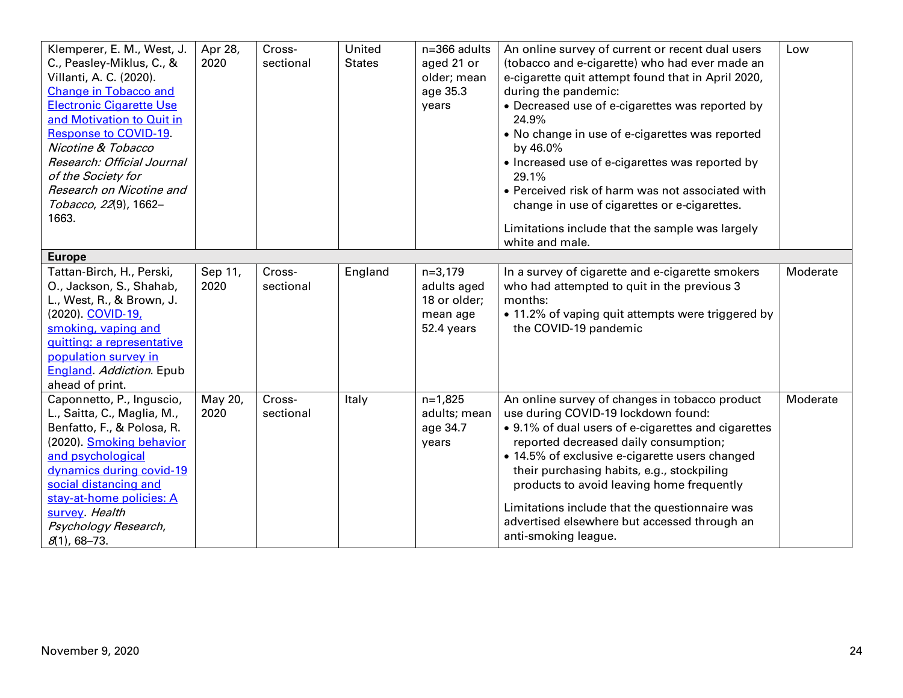| Klemperer, E. M., West, J.<br>C., Peasley-Miklus, C., &<br>Villanti, A. C. (2020). | Apr 28,<br>2020 | Cross-<br>sectional | United<br><b>States</b> | n=366 adults<br>aged 21 or<br>older; mean | An online survey of current or recent dual users<br>(tobacco and e-cigarette) who had ever made an<br>e-cigarette quit attempt found that in April 2020, | Low      |
|------------------------------------------------------------------------------------|-----------------|---------------------|-------------------------|-------------------------------------------|----------------------------------------------------------------------------------------------------------------------------------------------------------|----------|
| <b>Change in Tobacco and</b>                                                       |                 |                     |                         | age 35.3                                  | during the pandemic:                                                                                                                                     |          |
| <b>Electronic Cigarette Use</b>                                                    |                 |                     |                         | years                                     | • Decreased use of e-cigarettes was reported by                                                                                                          |          |
| and Motivation to Quit in                                                          |                 |                     |                         |                                           | 24.9%                                                                                                                                                    |          |
| <b>Response to COVID-19.</b>                                                       |                 |                     |                         |                                           | • No change in use of e-cigarettes was reported                                                                                                          |          |
| Nicotine & Tobacco                                                                 |                 |                     |                         |                                           | by 46.0%                                                                                                                                                 |          |
| Research: Official Journal                                                         |                 |                     |                         |                                           | • Increased use of e-cigarettes was reported by                                                                                                          |          |
| of the Society for                                                                 |                 |                     |                         |                                           | 29.1%                                                                                                                                                    |          |
| Research on Nicotine and                                                           |                 |                     |                         |                                           | • Perceived risk of harm was not associated with                                                                                                         |          |
| Tobacco, 22(9), 1662-                                                              |                 |                     |                         |                                           | change in use of cigarettes or e-cigarettes.                                                                                                             |          |
| 1663.                                                                              |                 |                     |                         |                                           | Limitations include that the sample was largely                                                                                                          |          |
|                                                                                    |                 |                     |                         |                                           | white and male.                                                                                                                                          |          |
| <b>Europe</b>                                                                      |                 |                     |                         |                                           |                                                                                                                                                          |          |
| Tattan-Birch, H., Perski,                                                          | Sep 11,         | Cross-              | England                 | $n=3,179$                                 | In a survey of cigarette and e-cigarette smokers                                                                                                         | Moderate |
| O., Jackson, S., Shahab,                                                           | 2020            | sectional           |                         | adults aged                               | who had attempted to quit in the previous 3                                                                                                              |          |
| L., West, R., & Brown, J.                                                          |                 |                     |                         | 18 or older;                              | months:                                                                                                                                                  |          |
| (2020). COVID-19,                                                                  |                 |                     |                         | mean age                                  | • 11.2% of vaping quit attempts were triggered by                                                                                                        |          |
| smoking, vaping and                                                                |                 |                     |                         | 52.4 years                                | the COVID-19 pandemic                                                                                                                                    |          |
| quitting: a representative                                                         |                 |                     |                         |                                           |                                                                                                                                                          |          |
| population survey in                                                               |                 |                     |                         |                                           |                                                                                                                                                          |          |
| <b>England</b> Addiction Epub                                                      |                 |                     |                         |                                           |                                                                                                                                                          |          |
| ahead of print.                                                                    |                 |                     |                         |                                           |                                                                                                                                                          |          |
| Caponnetto, P., Inguscio,                                                          | May 20,         | Cross-              | Italy                   | $n=1,825$                                 | An online survey of changes in tobacco product                                                                                                           | Moderate |
| L., Saitta, C., Maglia, M.,                                                        | 2020            | sectional           |                         | adults; mean                              | use during COVID-19 lockdown found:                                                                                                                      |          |
| Benfatto, F., & Polosa, R.                                                         |                 |                     |                         | age 34.7                                  | • 9.1% of dual users of e-cigarettes and cigarettes                                                                                                      |          |
| (2020). Smoking behavior                                                           |                 |                     |                         | years                                     | reported decreased daily consumption;                                                                                                                    |          |
| and psychological                                                                  |                 |                     |                         |                                           | • 14.5% of exclusive e-cigarette users changed                                                                                                           |          |
| dynamics during covid-19                                                           |                 |                     |                         |                                           | their purchasing habits, e.g., stockpiling                                                                                                               |          |
| social distancing and                                                              |                 |                     |                         |                                           | products to avoid leaving home frequently                                                                                                                |          |
| stay-at-home policies: A                                                           |                 |                     |                         |                                           | Limitations include that the questionnaire was                                                                                                           |          |
| survey. Health                                                                     |                 |                     |                         |                                           | advertised elsewhere but accessed through an                                                                                                             |          |
| Psychology Research,                                                               |                 |                     |                         |                                           | anti-smoking league.                                                                                                                                     |          |
| $8(1)$ , 68-73.                                                                    |                 |                     |                         |                                           |                                                                                                                                                          |          |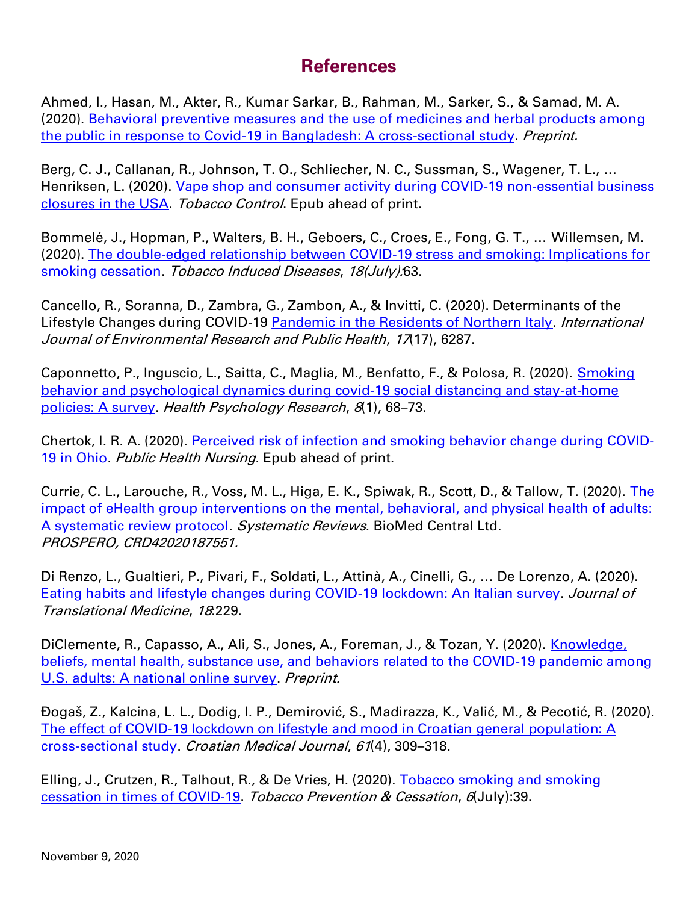### **References**

Ahmed, I., Hasan, M., Akter, R., Kumar Sarkar, B., Rahman, M., Sarker, S., & Samad, M. A. (2020). [Behavioral preventive measures and the use of medicines and herbal products among](https://www.medrxiv.org/content/10.1101/2020.08.15.20175513v1)  [the public in response to Covid-19 in Bangladesh: A cross-sectional study.](https://www.medrxiv.org/content/10.1101/2020.08.15.20175513v1) Preprint.

Berg, C. J., Callanan, R., Johnson, T. O., Schliecher, N. C., Sussman, S., Wagener, T. L., … Henriksen, L. (2020). Vape shop and consumer activity during COVID-19 non-essential business [closures in the USA.](https://tobaccocontrol.bmj.com/content/early/2020/10/18/tobaccocontrol-2020-056171) Tobacco Control. Epub ahead of print.

Bommelé, J., Hopman, P., Walters, B. H., Geboers, C., Croes, E., Fong, G. T., … Willemsen, M. (2020). [The double-edged relationship between COVID-19 stress and smoking: Implications for](http://www.tobaccoinduceddiseases.org/The-double-edged-relationship-between-COVID-19-stress-and-smoking-r-nImplications,125580,0,2.html)  [smoking cessation.](http://www.tobaccoinduceddiseases.org/The-double-edged-relationship-between-COVID-19-stress-and-smoking-r-nImplications,125580,0,2.html) Tobacco Induced Diseases, 18(July):63.

Cancello, R., Soranna, D., Zambra, G., Zambon, A., & Invitti, C. (2020). Determinants of the Lifestyle Changes during COVID-19 [Pandemic in the Residents of Northern Italy.](https://www.mdpi.com/1660-4601/17/17/6287) *International* Journal of Environmental Research and Public Health, 17(17), 6287.

Caponnetto, P., Inguscio, L., Saitta, C., Maglia, M., Benfatto, F., & Polosa, R. (2020). Smoking [behavior and psychological dynamics during covid-19 social distancing and stay-at-home](https://www.pagepressjournals.org/index.php/hpr/article/view/9124)  [policies: A survey.](https://www.pagepressjournals.org/index.php/hpr/article/view/9124) Health Psychology Research, 8(1), 68–73.

Chertok, I. R. A. (2020). [Perceived risk of infection and smoking behavior change during COVID](https://onlinelibrary.wiley.com/doi/10.1111/phn.12814)[‐](https://onlinelibrary.wiley.com/doi/10.1111/phn.12814) [19 in Ohio.](https://onlinelibrary.wiley.com/doi/10.1111/phn.12814) Public Health Nursing. Epub ahead of print.

Currie, C. L., Larouche, R., Voss, M. L., Higa, E. K., Spiwak, R., Scott, D., & Tallow, T. (2020). The [impact of eHealth group interventions on the mental, behavioral, and physical health of adults:](https://systematicreviewsjournal.biomedcentral.com/articles/10.1186/s13643-020-01479-3)  [A systematic review protocol.](https://systematicreviewsjournal.biomedcentral.com/articles/10.1186/s13643-020-01479-3) Systematic Reviews. BioMed Central Ltd. PROSPERO, CRD42020187551.

Di Renzo, L., Gualtieri, P., Pivari, F., Soldati, L., Attinà, A., Cinelli, G., … De Lorenzo, A. (2020). [Eating habits and lifestyle changes during COVID-19 lockdown: An Italian survey.](https://translational-medicine.biomedcentral.com/articles/10.1186/s12967-020-02399-5) Journal of Translational Medicine, 18:229.

DiClemente, R., Capasso, A., Ali, S., Jones, A., Foreman, J., & Tozan, Y. (2020). Knowledge, [beliefs, mental health, substance use, and behaviors related to the COVID-19 pandemic among](https://journals.sagepub.com/doi/10.1177/2050312120965321)  [U.S. adults: A national online survey.](https://journals.sagepub.com/doi/10.1177/2050312120965321) Preprint.

Đogaš, Z., Kalcina, L. L., Dodig, I. P., Demirović, S., Madirazza, K., Valić, M., & Pecotić, R. (2020). [The effect of COVID-19 lockdown on lifestyle and mood in Croatian general population: A](https://pubmed.ncbi.nlm.nih.gov/32881428/)  [cross-sectional study.](https://pubmed.ncbi.nlm.nih.gov/32881428/) Croatian Medical Journal, 61(4), 309–318.

Elling, J., Crutzen, R., Talhout, R., & De Vries, H. (2020). Tobacco smoking and smoking [cessation in times of COVID-19.](http://www.tobaccopreventioncessation.com/Tobacco-Smoking-and-Smoking-Cessation-in-Times-of-COVID-19,122753,0,2.html) Tobacco Prevention & Cessation, 6(July):39.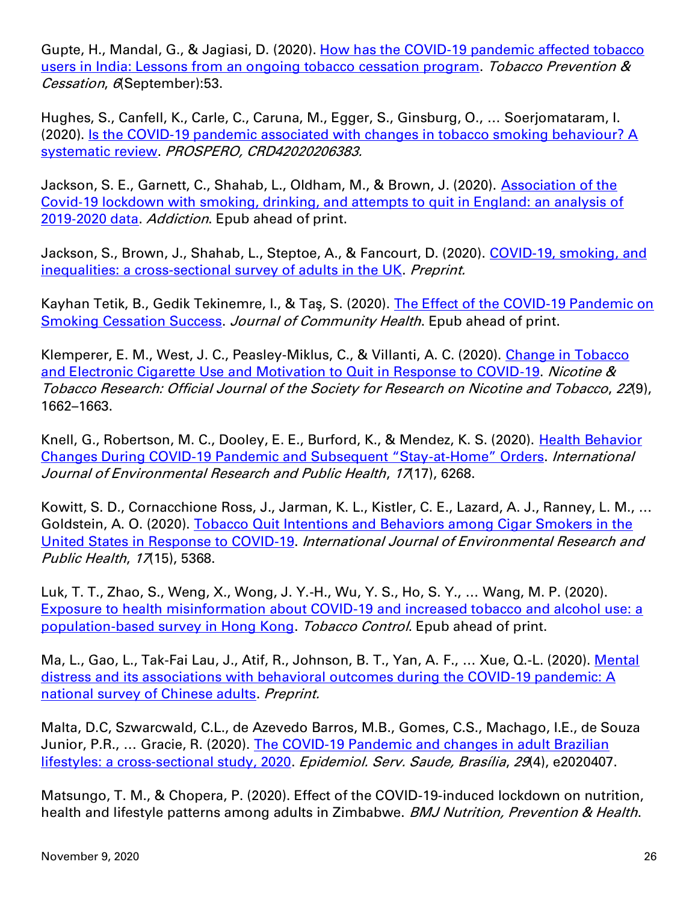Gupte, H., Mandal, G., & Jagiasi, D. (2020). How has the COVID-19 pandemic affected tobacco [users in India: Lessons from an ongoing tobacco cessation program.](http://www.tobaccopreventioncessation.com/How-has-the-COVID-19-pandemic-affected-tobacco-users-in-India-learnings-from-an-ongoing,127122,0,2.html) Tobacco Prevention & Cessation, 6(September):53.

Hughes, S., Canfell, K., Carle, C., Caruna, M., Egger, S., Ginsburg, O., … Soerjomataram, I. (2020). [Is the COVID-19 pandemic associated with changes in tobacco smoking behaviour? A](https://www.crd.york.ac.uk/prospero/display_record.php?RecordID=206383&VersionID=1382167)  [systematic review.](https://www.crd.york.ac.uk/prospero/display_record.php?RecordID=206383&VersionID=1382167) PROSPERO, CRD42020206383.

Jackson, S. E., Garnett, C., Shahab, L., Oldham, M., & Brown, J. (2020). Association of the Covid‐[19 lockdown with smoking, drinking, and attempts to quit in England: an analysis of](https://onlinelibrary.wiley.com/doi/10.1111/add.15295)  2019-[2020 data.](https://onlinelibrary.wiley.com/doi/10.1111/add.15295) Addiction. Epub ahead of print.

Jackson, S., Brown, J., Shahab, L., Steptoe, A., & Fancourt, D. (2020). COVID-19, smoking, and [inequalities: a cross-sectional survey of adults in the UK.](https://www.medrxiv.org/content/10.1101/2020.04.30.20086074v1) Preprint.

Kayhan Tetik, B., Gedik Tekinemre, I., & Taş, S. (2020). The Effect of the COVID-19 Pandemic on [Smoking Cessation Success.](https://link.springer.com/article/10.1007/s10900-020-00880-2) Journal of Community Health. Epub ahead of print.

Klemperer, E. M., West, J. C., Peasley-Miklus, C., & Villanti, A. C. (2020). Change in Tobacco [and Electronic Cigarette Use and Motivation to Quit in Response to COVID-19.](https://academic.oup.com/ntr/article/22/9/1662/5826329) Nicotine & Tobacco Research: Official Journal of the Society for Research on Nicotine and Tobacco, 22(9), 1662–1663.

Knell, G., Robertson, M. C., Dooley, E. E., Burford, K., & Mendez, K. S. (2020). [Health Behavior](https://www.mdpi.com/1660-4601/17/17/6268/htm)  Changes During COVID-[19 Pandemic and Subsequent "Stay](https://www.mdpi.com/1660-4601/17/17/6268/htm)-at-Home" Orders. International Journal of Environmental Research and Public Health, 17(17), 6268.

Kowitt, S. D., Cornacchione Ross, J., Jarman, K. L., Kistler, C. E., Lazard, A. J., Ranney, L. M., … Goldstein, A. O. (2020). Tobacco Quit Intentions and Behaviors among Cigar Smokers in the [United States in Response to COVID-19.](https://www.mdpi.com/1660-4601/17/15/5368) International Journal of Environmental Research and Public Health, 17(15), 5368.

Luk, T. T., Zhao, S., Weng, X., Wong, J. Y.-H., Wu, Y. S., Ho, S. Y., … Wang, M. P. (2020). [Exposure to health misinformation about COVID-19 and increased tobacco and alcohol use: a](https://tobaccocontrol.bmj.com/content/early/2020/08/27/tobaccocontrol-2020-055960)  [population-based survey in Hong Kong.](https://tobaccocontrol.bmj.com/content/early/2020/08/27/tobaccocontrol-2020-055960) Tobacco Control. Epub ahead of print.

Ma, L., Gao, L., Tak-Fai Lau, J., Atif, R., Johnson, B. T., Yan, A. F., … Xue, Q.-L. (2020). [Mental](https://www.researchsquare.com/article/rs-56290/v1)  [distress and its associations with behavioral outcomes during the COVID-19 pandemic: A](https://www.researchsquare.com/article/rs-56290/v1)  [national survey of Chinese adults.](https://www.researchsquare.com/article/rs-56290/v1) Preprint.

Malta, D.C, Szwarcwald, C.L., de Azevedo Barros, M.B., Gomes, C.S., Machago, I.E., de Souza Junior, P.R., ... Gracie, R. (2020). The COVID-19 Pandemic and changes in adult Brazilian [lifestyles: a cross-sectional study, 2020.](https://www.scielo.br/pdf/ress/v29n4/en_2237-9622-ress-29-04-e2020407.pdf) Epidemiol. Serv. Saude, Brasília, 29(4), e2020407.

Matsungo, T. M., & Chopera, P. (2020). Effect of the COVID-19-induced lockdown on nutrition, health and lifestyle patterns among adults in Zimbabwe. BMJ Nutrition, Prevention & Health.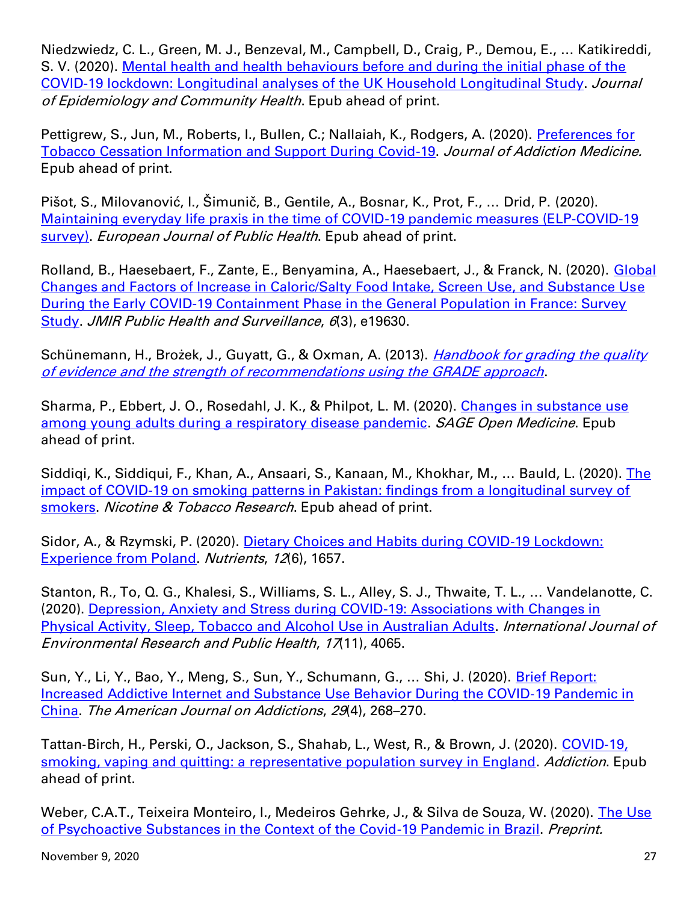Niedzwiedz, C. L., Green, M. J., Benzeval, M., Campbell, D., Craig, P., Demou, E., … Katikireddi, S. V. (2020). [Mental health and health behaviours before and during the initial phase of the](https://jech.bmj.com/content/early/2020/09/24/jech-2020-215060)  [COVID-19 lockdown: Longitudinal analyses of the UK Household Longitudinal Study.](https://jech.bmj.com/content/early/2020/09/24/jech-2020-215060) Journal of Epidemiology and Community Health. Epub ahead of print.

Pettigrew, S., Jun, M., Roberts, I., Bullen, C.; Nallaiah, K., Rodgers, A. (2020). [Preferences for](https://journals.lww.com/journaladdictionmedicine/Abstract/9000/Preferences_for_Tobacco_Cessation_Information_and.99161.aspx)  [Tobacco Cessation Information and Support During Covid-19.](https://journals.lww.com/journaladdictionmedicine/Abstract/9000/Preferences_for_Tobacco_Cessation_Information_and.99161.aspx) Journal of Addiction Medicine. Epub ahead of print.

Pišot, S., Milovanović, I., Šimunič, B., Gentile, A., Bosnar, K., Prot, F., … Drid, P. (2020). [Maintaining everyday life praxis in the time of COVID-19 pandemic measures \(ELP-COVID-19](https://academic.oup.com/eurpub/advance-article/doi/10.1093/eurpub/ckaa157/5880552)  [survey\).](https://academic.oup.com/eurpub/advance-article/doi/10.1093/eurpub/ckaa157/5880552) European Journal of Public Health. Epub ahead of print.

Rolland, B., Haesebaert, F., Zante, E., Benyamina, A., Haesebaert, J., & Franck, N. (2020). [Global](https://publichealth.jmir.org/2020/3/e19630/)  [Changes and Factors of Increase in Caloric/Salty Food Intake, Screen Use, and Substance Use](https://publichealth.jmir.org/2020/3/e19630/)  [During the Early COVID-19 Containment Phase in the General Population in France: Survey](https://publichealth.jmir.org/2020/3/e19630/)  [Study.](https://publichealth.jmir.org/2020/3/e19630/) JMIR Public Health and Surveillance, 6(3), e19630.

Schünemann, H., Brożek, J., Guyatt, G., & Oxman, A. (2013). *Handbook for grading the quality* [of evidence and the strength of recommendations using the GRADE approach](https://gdt.gradepro.org/app/handbook/handbook.html).

Sharma, P., Ebbert, J. O., Rosedahl, J. K., & Philpot, L. M. (2020). [Changes in substance use](https://journals.sagepub.com/doi/10.1177/2050312120965321)  [among young adults during a respiratory disease pandemic.](https://journals.sagepub.com/doi/10.1177/2050312120965321) SAGE Open Medicine. Epub ahead of print.

Siddiqi, K., Siddiqui, F., Khan, A., Ansaari, S., Kanaan, M., Khokhar, M., ... Bauld, L. (2020). The [impact of COVID-19 on smoking patterns in Pakistan: findings from a longitudinal survey of](https://academic.oup.com/ntr/advance-article/doi/10.1093/ntr/ntaa207/5919351)  [smokers.](https://academic.oup.com/ntr/advance-article/doi/10.1093/ntr/ntaa207/5919351) Nicotine & Tobacco Research. Epub ahead of print.

Sidor, A., & Rzymski, P. (2020). Dietary Choices and Habits during COVID-19 Lockdown: [Experience from Poland.](https://www.mdpi.com/2072-6643/12/6/1657) Nutrients, 12(6), 1657.

Stanton, R., To, Q. G., Khalesi, S., Williams, S. L., Alley, S. J., Thwaite, T. L., … Vandelanotte, C. (2020). [Depression, Anxiety and Stress during COVID-19: Associations with Changes in](https://www.mdpi.com/1660-4601/17/11/4065)  [Physical Activity, Sleep, Tobacco and Alcohol Use in Australian Adults.](https://www.mdpi.com/1660-4601/17/11/4065) International Journal of Environmental Research and Public Health, 17(11), 4065.

Sun, Y., Li, Y., Bao, Y., Meng, S., Sun, Y., Schumann, G., … Shi, J. (2020). [Brief Report:](https://onlinelibrary.wiley.com/doi/full/10.1111/ajad.13066)  [Increased Addictive Internet and Substance Use Behavior During the COVID](https://onlinelibrary.wiley.com/doi/full/10.1111/ajad.13066)‐19 Pandemic in [China.](https://onlinelibrary.wiley.com/doi/full/10.1111/ajad.13066) The American Journal on Addictions, 29(4), 268–270.

Tattan‐Birch, H., Perski, O., Jackson, S., Shahab, L., West, R., & Brown, J. (2020). [COVID](https://onlinelibrary.wiley.com/doi/10.1111/add.15251)‐19, [smoking, vaping and quitting: a representative population survey in England.](https://onlinelibrary.wiley.com/doi/10.1111/add.15251) Addiction. Epub ahead of print.

Weber, C.A.T., Teixeira Monteiro, I., Medeiros Gehrke, J., & Silva de Souza, W. (2020). The Use [of Psychoactive Substances in the Context of the Covid-19 Pandemic in Brazil.](https://www.medrxiv.org/content/10.1101/2020.09.25.20194431v1) Preprint.